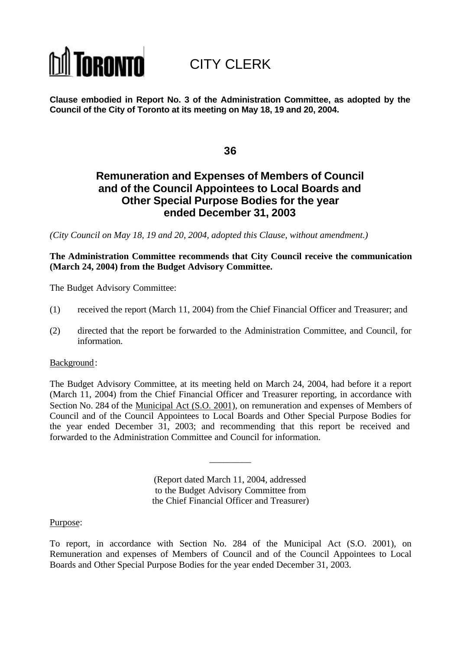# **TORONTO**

## CITY CLERK

**Clause embodied in Report No. 3 of the Administration Committee, as adopted by the Council of the City of Toronto at its meeting on May 18, 19 and 20, 2004.**

**36**

## **Remuneration and Expenses of Members of Council and of the Council Appointees to Local Boards and Other Special Purpose Bodies for the year ended December 31, 2003**

*(City Council on May 18, 19 and 20, 2004, adopted this Clause, without amendment.)*

**The Administration Committee recommends that City Council receive the communication (March 24, 2004) from the Budget Advisory Committee.**

The Budget Advisory Committee:

- (1) received the report (March 11, 2004) from the Chief Financial Officer and Treasurer; and
- (2) directed that the report be forwarded to the Administration Committee, and Council, for information.

## Background:

The Budget Advisory Committee, at its meeting held on March 24, 2004, had before it a report (March 11, 2004) from the Chief Financial Officer and Treasurer reporting, in accordance with Section No. 284 of the Municipal Act (S.O. 2001), on remuneration and expenses of Members of Council and of the Council Appointees to Local Boards and Other Special Purpose Bodies for the year ended December 31, 2003; and recommending that this report be received and forwarded to the Administration Committee and Council for information.

> (Report dated March 11, 2004, addressed to the Budget Advisory Committee from the Chief Financial Officer and Treasurer)

\_\_\_\_\_\_\_\_\_

## Purpose:

To report, in accordance with Section No. 284 of the Municipal Act (S.O. 2001), on Remuneration and expenses of Members of Council and of the Council Appointees to Local Boards and Other Special Purpose Bodies for the year ended December 31, 2003.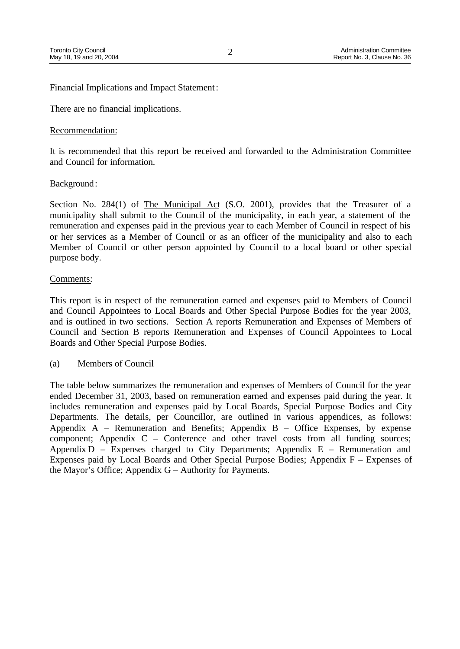## Financial Implications and Impact Statement:

There are no financial implications.

## Recommendation:

It is recommended that this report be received and forwarded to the Administration Committee and Council for information.

## Background:

Section No. 284(1) of The Municipal Act (S.O. 2001), provides that the Treasurer of a municipality shall submit to the Council of the municipality, in each year, a statement of the remuneration and expenses paid in the previous year to each Member of Council in respect of his or her services as a Member of Council or as an officer of the municipality and also to each Member of Council or other person appointed by Council to a local board or other special purpose body.

## Comments:

This report is in respect of the remuneration earned and expenses paid to Members of Council and Council Appointees to Local Boards and Other Special Purpose Bodies for the year 2003, and is outlined in two sections. Section A reports Remuneration and Expenses of Members of Council and Section B reports Remuneration and Expenses of Council Appointees to Local Boards and Other Special Purpose Bodies.

(a) Members of Council

The table below summarizes the remuneration and expenses of Members of Council for the year ended December 31, 2003, based on remuneration earned and expenses paid during the year. It includes remuneration and expenses paid by Local Boards, Special Purpose Bodies and City Departments. The details, per Councillor, are outlined in various appendices, as follows: Appendix  $A$  – Remuneration and Benefits; Appendix  $B$  – Office Expenses, by expense component; Appendix C – Conference and other travel costs from all funding sources; Appendix  $D$  – Expenses charged to City Departments; Appendix  $E$  – Remuneration and Expenses paid by Local Boards and Other Special Purpose Bodies; Appendix F – Expenses of the Mayor's Office; Appendix G – Authority for Payments.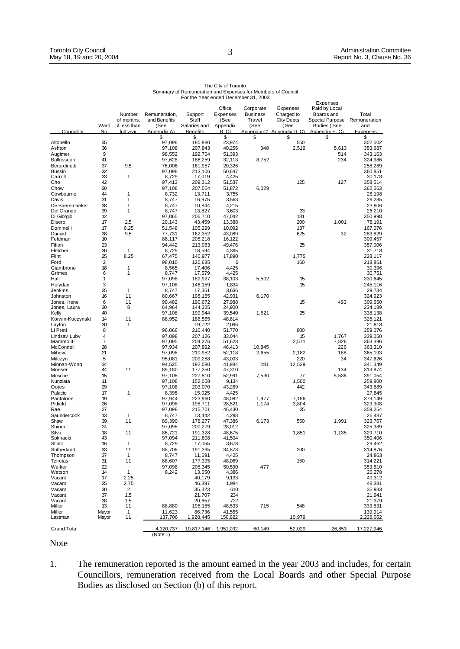|                              |                     |                      |                       |                       |                    |                              |                        | Expenses                    |                       |
|------------------------------|---------------------|----------------------|-----------------------|-----------------------|--------------------|------------------------------|------------------------|-----------------------------|-----------------------|
|                              |                     | Number               | Remuneration.         | Support               | Office<br>Expenses | Corporate<br><b>Business</b> | Expenses<br>Charged to | Paid by Local<br>Boards and | Total                 |
|                              |                     | of months,           | and Benefits          | Staff                 | (See               | Travel                       | <b>City Depts</b>      | Special Purpose             | Remuneration          |
|                              | Ward                | if less than         | (See                  | Salaries and          | Appendix           | (See                         | (See                   | Bodies (See                 | and                   |
| Councillor                   | No                  | full vear            | Appendix A)<br>\$     | <b>Benefits</b><br>\$ | B.C<br>\$          | Appendix C)<br>\$            | Appendix D. C)<br>\$   | Appendix E. C)<br>\$        | <b>Expenses</b><br>\$ |
| Altobello                    | 35                  |                      | 97,098                | 180,880               | 23,974             |                              | 550                    |                             | 302,502               |
| Ashton<br>Augimeri           | 36<br>9             |                      | 97,108<br>98,552      | 207,843<br>192,704    | 40,256<br>51,393   | 348                          | 2,519                  | 5,613<br>514                | 353,687<br>343,163    |
| Balkissoon                   | 41                  |                      | 97,628                | 186,259               | 32,113             | 8,752                        |                        | 234                         | 324,986               |
| Berardinetti                 | 37                  | 9.5                  | 76.006                | 161.957               | 20.326             |                              |                        |                             | 258.289               |
| <b>Bussin</b>                | 32                  | $\mathbf{1}$         | 97.098                | 213.106               | 50.647<br>4,425    |                              |                        |                             | 360.851               |
| Carroll<br>Cho               | 33<br>42            |                      | 8,729<br>97,413       | 17,019<br>209.312     | 51,537             |                              | 125                    | 127                         | 30,173<br>358,514     |
| Chow                         | 20                  |                      | 97.108                | 207,554               | 51,872             | 6,029                        |                        |                             | 362,563               |
| Cowbourne                    | 44                  | $\mathbf{1}$         | 8,732                 | 13,711                | 3,755              |                              |                        |                             | 26,198                |
| Davis<br>De Baeremaeker      | 31<br>38            | 1<br>1               | 8.747<br>8.747        | 16.975<br>10.844      | 3.563<br>4.215     |                              |                        |                             | 29.285<br>23.806      |
| Del Grande                   | 39                  | 1                    | 8,747                 | 13,827                | 3,603              |                              | 33                     |                             | 26,210                |
| Di Giorgio                   | 12                  |                      | 97,065                | 206,710               | 47,042             |                              | 181                    |                             | 350,998               |
| Disero                       | 17                  | 2.5                  | 20,143                | 43,459                | 13,388             |                              | 200                    | 1,001                       | 78,191                |
| Dominelli<br>Duauid          | 17<br>38            | 6.25<br>9.5          | 51,548<br>77.731      | 105,299<br>162.352    | 10,092<br>43.089   |                              | 137<br>625             | 32                          | 167,076<br>283.829    |
| Feldman                      | 10                  |                      | 88,117                | 205,218               | 16,122             |                              |                        |                             | 309,457               |
| Filion                       | 23                  |                      | 94,442                | 213,063               | 49,476             |                              | 25                     |                             | 357,006               |
| Fletcher<br>Flint            | 30<br>25            | $\mathbf{1}$<br>8.25 | 8,729<br>67,475       | 18,594<br>140,977     | 4,395<br>17,890    |                              | 1,775                  |                             | 31,718<br>228,117     |
| Ford                         | $\overline{2}$      |                      | 98,010                | 120.685               | 6                  |                              | 160                    |                             | 218,861               |
| Giambrone                    | 18                  | $\mathbf{1}$         | 8.565                 | 17.406                | 4.425              |                              |                        |                             | 30.396                |
| Grimes<br>Hall               | 6<br>1              | 1                    | 8,747                 | 17,579                | 4,425              |                              |                        |                             | 30,751<br>330.645     |
| Holyday                      | 3                   |                      | 97,098<br>97,108      | 189,927<br>146,159    | 38,103<br>1,834    | 5,502                        | 15<br>15               |                             | 245,116               |
| Jenkins                      | 25                  | 1                    | 8,747                 | 17,351                | 3,636              |                              |                        |                             | 29,734                |
| Johnston                     | 16                  | 11                   | 80.667                | 195.155               | 42.931             | 6.170                        |                        |                             | 324.923               |
| Jones. Irene<br>Jones, Laura | 6<br>30             | 11<br>8              | 90.482<br>64,964      | 190.672<br>144.325    | 27.988<br>24.900   |                              | 15                     | 493                         | 309.650<br>234,189    |
| Kelly                        | 40                  |                      | 97,108                | 199,944               | 39,540             | 1,521                        | 25                     |                             | 338,138               |
| Korwin-Kuczynski             | 14                  | 11                   | 88.952                | 188,555               | 48,614             |                              |                        |                             | 326,121               |
| Layton                       | 30                  | 1                    |                       | 19,722                | 2,096              |                              |                        |                             | 21,818                |
| Li Preti<br>Lindsav Lubv     | 8<br>$\overline{4}$ |                      | 96.066<br>97.098      | 210.440<br>207.126    | 51.770<br>33.044   |                              | 800<br>15              | 1.767                       | 359.076<br>339.050    |
| Mammoliti                    | 7                   |                      | 97,095                | 204,276               | 51,628             |                              | 2,571                  | 7,826                       | 363,396               |
| McConnell                    | 28                  |                      | 97,934                | 207,892               | 46,413             | 10,845                       |                        | 226                         | 363,310               |
| Mihevc<br>Milczyn            | 21<br>5             |                      | 97,098<br>95,081      | 210,952<br>209,288    | 52,118<br>43,003   | 2,655                        | 2,182<br>220           | 188<br>34                   | 365,193<br>347,626    |
| Minnan-Wong                  | 34                  |                      | 94.525                | 192.080               | 41.934             | 281                          | 12.529                 |                             | 341.349               |
| Moeser                       | 44                  | 11                   | 89,180                | 177,350               | 47,310             |                              |                        | 134                         | 313,974               |
| Moscoe                       | 15                  |                      | 97,108                | 227,810               | 52,991             | 7,530                        | 77                     | 5,538                       | 391,054               |
| Nunziata<br>Ootes            | 11<br>29            |                      | 97,108<br>97,108      | 152,058<br>203,070    | 9,134<br>43,269    |                              | 1,500<br>442           |                             | 259,800<br>343,889    |
| Palacio                      | 17                  | 1                    | 8,395                 | 15,025                | 4,425              |                              |                        |                             | 27,845                |
| Pantalone                    | 19                  |                      | 97.944                | 223.960               | 48.082             | 1.977                        | 7.186                  |                             | 379.149               |
| Pitfield<br>Rae              | 26<br>27            |                      | 97,098<br>97,098      | 198,711<br>215,701    | 28,521<br>46,430   | 1,174                        | 3,804<br>25            |                             | 329,308<br>359,254    |
| Saundercook                  | 13                  | $\mathbf{1}$         | 8,747                 | 13,442                | 4,298              |                              |                        |                             | 26,487                |
| Shaw                         | 39                  | 11                   | 89,390                | 178,277               | 47,386             | 6,173                        | 550                    | 1,991                       | 323,767               |
| Shiner                       | 24                  |                      | 97.098                | 200.279               | 28.012             |                              |                        |                             | 325.389               |
| Silva<br>Soknacki            | 18<br>43            | 11                   | 86.721<br>97,094      | 191.328<br>211,808    | 48.675<br>41,504   |                              | 1.851                  | 1.135                       | 329.710<br>350.406    |
| Stintz                       | 16                  | 1                    | 8,729                 | 17,055                | 3,678              |                              |                        |                             | 29,462                |
| Sutherland                   | 33                  | 11                   | 88,708                | 191,395               | 34,573             |                              | 200                    |                             | 314,876               |
| Thompson<br><b>Tziretas</b>  | 37                  | $\mathbf{1}$<br>11   | 8,747                 | 11,691<br>177.395     | 4,425<br>48.069    |                              | 150                    |                             | 24,863<br>314.221     |
| Walker                       | 31<br>22            |                      | 88.607<br>97.098      | 205.345               | 50.590             | 477                          |                        |                             | 353.510               |
| Watson                       | 14                  | $\mathbf{1}$         | 8,242                 | 13,650                | 4,386              |                              |                        |                             | 26,278                |
| Vacant                       | 17                  | 2.25                 |                       | 40,179                | 9,133              |                              |                        |                             | 49,312                |
| Vacant<br>Vacant             | 25<br>30            | 2.75<br>2            |                       | 46,397<br>35,323      | 1,984<br>610       |                              |                        |                             | 48,381<br>35,933      |
| Vacant                       | 37                  | 1.5                  |                       | 21.707                | 234                |                              |                        |                             | 21.941                |
| Vacant                       | 38                  | 1.5                  |                       | 20.657                | 722                |                              |                        |                             | 21.379                |
| Miller<br>Miller             | 13<br>Mayor         | 11<br>$\mathbf{1}$   | 88,880<br>11,623      | 195,155<br>86,736     | 48,533<br>41,555   | 715                          | 548                    |                             | 333,831<br>139,914    |
| Lastman                      | Mayor               | 11                   | 137,706               | 1,928,445             | 150,922            |                              | 10,979                 |                             | 2,228,052             |
| <b>Grand Total</b>           |                     |                      | 4,320,737<br>(Note 1) | 10,817,146            | 1,951,032          | 60,149                       | 52,029                 | 26,853                      | 17,227,946            |

| The City of Toronto                                         |
|-------------------------------------------------------------|
| Summary of Remuneration and Expenses for Members of Council |
| For the Year ended December 31, 2003                        |

Note

1. The remuneration reported is the amount earned in the year 2003 and includes, for certain Councillors, remuneration received from the Local Boards and other Special Purpose Bodies as disclosed on Section (b) of this report.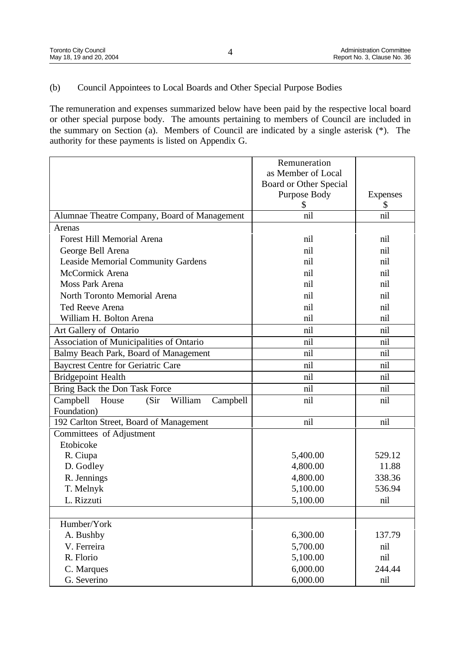## (b) Council Appointees to Local Boards and Other Special Purpose Bodies

The remuneration and expenses summarized below have been paid by the respective local board or other special purpose body. The amounts pertaining to members of Council are included in the summary on Section (a). Members of Council are indicated by a single asterisk (\*). The authority for these payments is listed on Appendix G.

|                                                   | Remuneration           |                 |
|---------------------------------------------------|------------------------|-----------------|
|                                                   | as Member of Local     |                 |
|                                                   | Board or Other Special |                 |
|                                                   | Purpose Body           | <b>Expenses</b> |
|                                                   | \$                     |                 |
| Alumnae Theatre Company, Board of Management      | nil                    | nil             |
| Arenas                                            |                        |                 |
| <b>Forest Hill Memorial Arena</b>                 | nil                    | nil             |
| George Bell Arena                                 | nil                    | nil             |
| <b>Leaside Memorial Community Gardens</b>         | nil                    | nil             |
| McCormick Arena                                   | nil                    | nil             |
| Moss Park Arena                                   | nil                    | nil             |
| North Toronto Memorial Arena                      | nil                    | nil             |
| Ted Reeve Arena                                   | nil                    | nil             |
| William H. Bolton Arena                           | nil                    | nil             |
| Art Gallery of Ontario                            | nil                    | nil             |
| Association of Municipalities of Ontario          | nil                    | nil             |
| Balmy Beach Park, Board of Management             | nil                    | nil             |
| <b>Baycrest Centre for Geriatric Care</b>         | nil                    | nil             |
| <b>Bridgepoint Health</b>                         | nil                    | nil             |
| Bring Back the Don Task Force                     | nil                    | nil             |
| Campbell<br>House<br>(Sir)<br>William<br>Campbell | nil                    | nil             |
| Foundation)                                       |                        |                 |
| 192 Carlton Street, Board of Management           | nil                    | nil             |
| Committees of Adjustment                          |                        |                 |
| Etobicoke                                         |                        |                 |
| R. Ciupa                                          | 5,400.00               | 529.12          |
| D. Godley                                         | 4,800.00               | 11.88           |
| R. Jennings                                       | 4,800.00               | 338.36          |
| T. Melnyk                                         | 5,100.00               | 536.94          |
| L. Rizzuti                                        | 5,100.00               | nil             |
|                                                   |                        |                 |
| Humber/York                                       |                        |                 |
| A. Bushby                                         | 6,300.00               | 137.79          |
| V. Ferreira                                       | 5,700.00               | nil             |
| R. Florio                                         | 5,100.00               | nil             |
| C. Marques                                        | 6,000.00               | 244.44          |
| G. Severino                                       | 6,000.00               | nil             |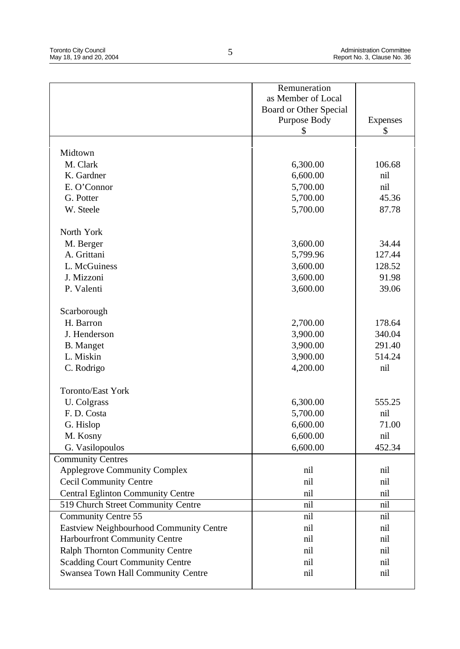|                                          | Remuneration           |          |
|------------------------------------------|------------------------|----------|
|                                          | as Member of Local     |          |
|                                          | Board or Other Special |          |
|                                          | Purpose Body           | Expenses |
|                                          | S                      | S        |
|                                          |                        |          |
| Midtown                                  |                        |          |
| M. Clark                                 | 6,300.00               | 106.68   |
| K. Gardner                               | 6,600.00               | nil      |
| E. O'Connor                              | 5,700.00               | nil      |
| G. Potter                                | 5,700.00               | 45.36    |
| W. Steele                                | 5,700.00               | 87.78    |
| North York                               |                        |          |
| M. Berger                                | 3,600.00               | 34.44    |
| A. Grittani                              | 5,799.96               | 127.44   |
| L. McGuiness                             | 3,600.00               | 128.52   |
| J. Mizzoni                               | 3,600.00               | 91.98    |
| P. Valenti                               | 3,600.00               | 39.06    |
|                                          |                        |          |
| Scarborough                              |                        |          |
| H. Barron                                | 2,700.00               | 178.64   |
| J. Henderson                             | 3,900.00               | 340.04   |
| <b>B.</b> Manget                         | 3,900.00               | 291.40   |
| L. Miskin                                | 3,900.00               | 514.24   |
| C. Rodrigo                               | 4,200.00               | nil      |
|                                          |                        |          |
| <b>Toronto/East York</b>                 |                        |          |
| U. Colgrass                              | 6,300.00               | 555.25   |
| F.D. Costa                               | 5,700.00               | nil      |
| G. Hislop                                | 6,600.00               | 71.00    |
| M. Kosny                                 | 6,600.00               | nil      |
| G. Vasilopoulos                          | 6,600.00               | 452.34   |
| <b>Community Centres</b>                 |                        |          |
| <b>Applegrove Community Complex</b>      | nil                    | nil      |
| <b>Cecil Community Centre</b>            | nil                    | nil      |
| <b>Central Eglinton Community Centre</b> | nil                    | nil      |
| 519 Church Street Community Centre       | nil                    | nil      |
| <b>Community Centre 55</b>               | nil                    | nil      |
| Eastview Neighbourhood Community Centre  | nil                    | nil      |
| Harbourfront Community Centre            | nil                    | nil      |
| Ralph Thornton Community Centre          | nil                    | nil      |
| <b>Scadding Court Community Centre</b>   | nil                    | nil      |
| Swansea Town Hall Community Centre       | nil                    | nil      |
|                                          |                        |          |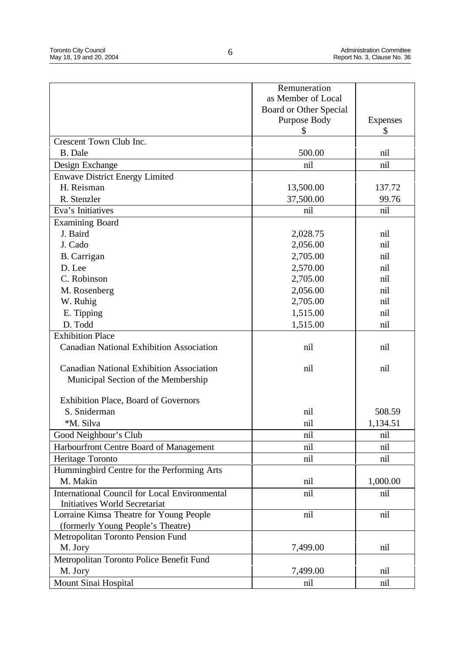|                                                      | Remuneration           |                 |
|------------------------------------------------------|------------------------|-----------------|
|                                                      | as Member of Local     |                 |
|                                                      | Board or Other Special |                 |
|                                                      | Purpose Body           | <b>Expenses</b> |
|                                                      | \$                     | \$              |
| Crescent Town Club Inc.                              |                        |                 |
| B. Dale                                              | 500.00                 | nil             |
| Design Exchange                                      | nil                    | nil             |
| <b>Enwave District Energy Limited</b>                |                        |                 |
| H. Reisman                                           | 13,500.00              | 137.72          |
| R. Stenzler                                          | 37,500.00              | 99.76           |
| Eva's Initiatives                                    | nil                    | nil             |
| <b>Examining Board</b>                               |                        |                 |
| J. Baird                                             | 2,028.75               | nil             |
| J. Cado                                              | 2,056.00               | nil             |
| B. Carrigan                                          | 2,705.00               | nil             |
| D. Lee                                               | 2,570.00               | nil             |
| C. Robinson                                          | 2,705.00               | nil             |
| M. Rosenberg                                         | 2,056.00               | nil             |
| W. Ruhig                                             | 2,705.00               | nil             |
| E. Tipping                                           | 1,515.00               | nil             |
| D. Todd                                              | 1,515.00               | nil             |
| <b>Exhibition Place</b>                              |                        |                 |
| <b>Canadian National Exhibition Association</b>      | nil                    | nil             |
|                                                      |                        |                 |
| <b>Canadian National Exhibition Association</b>      | nil                    | nil             |
| Municipal Section of the Membership                  |                        |                 |
|                                                      |                        |                 |
| <b>Exhibition Place, Board of Governors</b>          |                        |                 |
| S. Sniderman                                         | nil                    | 508.59          |
| *M. Silva                                            | nil                    | 1,134.51        |
| Good Neighbour's Club                                | nil                    | nil             |
| Harbourfront Centre Board of Management              | nil                    | nil             |
| Heritage Toronto                                     | nil                    | nil             |
| Hummingbird Centre for the Performing Arts           |                        |                 |
| M. Makin                                             | nil                    | 1,000.00        |
| <b>International Council for Local Environmental</b> | nil                    | nil             |
| <b>Initiatives World Secretariat</b>                 |                        |                 |
| Lorraine Kimsa Theatre for Young People              | nil                    | nil             |
| (formerly Young People's Theatre)                    |                        |                 |
| Metropolitan Toronto Pension Fund                    |                        |                 |
| M. Jory                                              | 7,499.00               | nil             |
| Metropolitan Toronto Police Benefit Fund             |                        |                 |
| M. Jory                                              | 7,499.00               | nil             |
| Mount Sinai Hospital                                 | nil                    | nil             |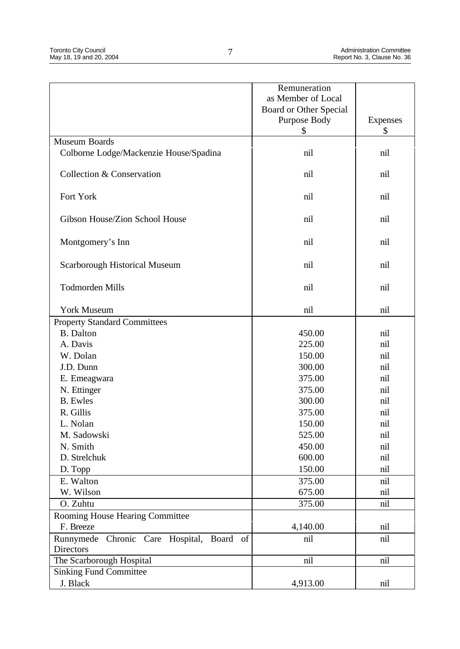|                                           | Remuneration           |                 |
|-------------------------------------------|------------------------|-----------------|
|                                           | as Member of Local     |                 |
|                                           | Board or Other Special |                 |
|                                           | Purpose Body           | <b>Expenses</b> |
| Museum Boards                             | \$                     | \$              |
| Colborne Lodge/Mackenzie House/Spadina    | nil                    | nil             |
|                                           |                        |                 |
| Collection & Conservation                 | nil                    | nil             |
| Fort York                                 | nil                    | nil             |
| Gibson House/Zion School House            | nil                    | nil             |
| Montgomery's Inn                          | nil                    | nil             |
| <b>Scarborough Historical Museum</b>      | nil                    | nil             |
| <b>Todmorden Mills</b>                    | nil                    | nil             |
| <b>York Museum</b>                        | nil                    | nil             |
| <b>Property Standard Committees</b>       |                        |                 |
| <b>B.</b> Dalton                          | 450.00                 | nil             |
| A. Davis                                  | 225.00                 | nil             |
| W. Dolan                                  | 150.00                 | nil             |
| J.D. Dunn                                 | 300.00                 | nil             |
| E. Emeagwara                              | 375.00                 | nil             |
| N. Ettinger                               | 375.00                 | nil             |
| <b>B.</b> Ewles                           | 300.00                 | nil             |
| R. Gillis                                 | 375.00                 | nil             |
| L. Nolan                                  | 150.00                 | nil             |
| M. Sadowski                               | 525.00                 | nil             |
| N. Smith                                  | 450.00                 | nil             |
| D. Strelchuk                              | 600.00                 | nil             |
| D. Topp                                   | 150.00                 | nil             |
| E. Walton                                 | 375.00                 | nil             |
| W. Wilson                                 | 675.00                 | nil             |
| O. Zuhtu                                  | 375.00                 | nil             |
| Rooming House Hearing Committee           |                        |                 |
| F. Breeze                                 | 4,140.00               | nil             |
| Runnymede Chronic Care Hospital, Board of | nil                    | nil             |
| Directors                                 |                        |                 |
| The Scarborough Hospital                  | nil                    | nil             |
| <b>Sinking Fund Committee</b>             |                        |                 |
| J. Black                                  | 4,913.00               | nil             |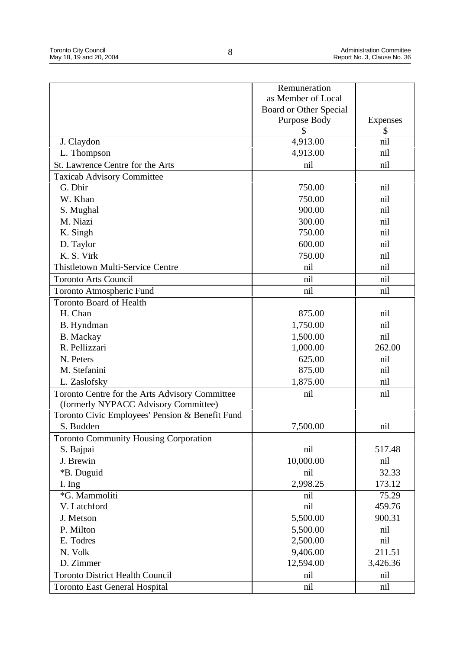|                                                 | Remuneration           |                 |
|-------------------------------------------------|------------------------|-----------------|
|                                                 | as Member of Local     |                 |
|                                                 | Board or Other Special |                 |
|                                                 | Purpose Body           | <b>Expenses</b> |
|                                                 | \$                     | \$              |
| J. Claydon                                      | 4,913.00               | nil             |
| L. Thompson                                     | 4,913.00               | nil             |
| St. Lawrence Centre for the Arts                | nil                    | nil             |
| <b>Taxicab Advisory Committee</b>               |                        |                 |
| G. Dhir                                         | 750.00                 | nil             |
| W. Khan                                         | 750.00                 | nil             |
| S. Mughal                                       | 900.00                 | nil             |
| M. Niazi                                        | 300.00                 | nil             |
| K. Singh                                        | 750.00                 | nil             |
| D. Taylor                                       | 600.00                 | nil             |
| K. S. Virk                                      | 750.00                 | nil             |
| <b>Thistletown Multi-Service Centre</b>         | nil                    | nil             |
| <b>Toronto Arts Council</b>                     | nil                    | nil             |
| Toronto Atmospheric Fund                        | nil                    | nil             |
| <b>Toronto Board of Health</b>                  |                        |                 |
| H. Chan                                         | 875.00                 | nil             |
| B. Hyndman                                      | 1,750.00               | nil             |
| <b>B.</b> Mackay                                | 1,500.00               | nil             |
| R. Pellizzari                                   | 1,000.00               | 262.00          |
| N. Peters                                       | 625.00                 | nil             |
| M. Stefanini                                    | 875.00                 | nil             |
| L. Zaslofsky                                    | 1,875.00               | nil             |
| Toronto Centre for the Arts Advisory Committee  | nil                    | nil             |
| (formerly NYPACC Advisory Committee)            |                        |                 |
| Toronto Civic Employees' Pension & Benefit Fund |                        |                 |
| S. Budden                                       | 7,500.00               | nil             |
| <b>Toronto Community Housing Corporation</b>    |                        |                 |
| S. Bajpai                                       | nil                    | 517.48          |
| J. Brewin                                       | 10,000.00              | nil             |
| *B. Duguid                                      | nil                    | 32.33           |
| I. Ing                                          | 2,998.25               | 173.12          |
| *G. Mammoliti                                   | nil                    | 75.29           |
| V. Latchford                                    | nil                    | 459.76          |
| J. Metson                                       | 5,500.00               | 900.31          |
| P. Milton                                       | 5,500.00               | nil             |
| E. Todres                                       | 2,500.00               | nil             |
| N. Volk                                         | 9,406.00               | 211.51          |
| D. Zimmer                                       | 12,594.00              | 3,426.36        |
| <b>Toronto District Health Council</b>          |                        |                 |
|                                                 | nil                    | nil             |
| <b>Toronto East General Hospital</b>            | nil                    | nil             |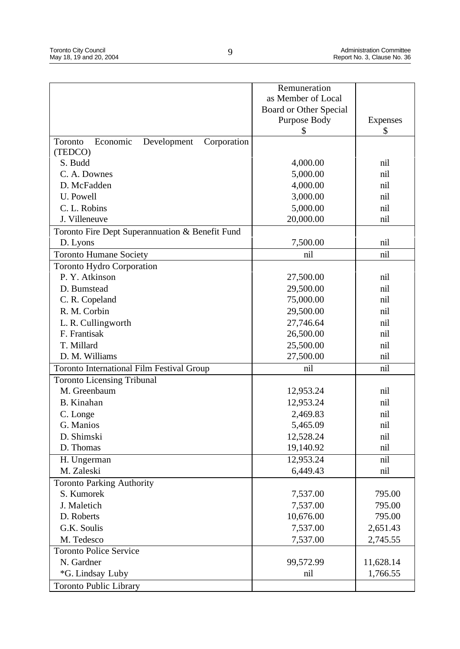|                                                   | Remuneration           |                 |
|---------------------------------------------------|------------------------|-----------------|
|                                                   | as Member of Local     |                 |
|                                                   | Board or Other Special |                 |
|                                                   | Purpose Body           | <b>Expenses</b> |
|                                                   | \$                     | \$              |
| Toronto                                           |                        |                 |
| Development<br>Corporation<br>Economic<br>(TEDCO) |                        |                 |
| S. Budd                                           | 4,000.00               | nil             |
| C. A. Downes                                      | 5,000.00               | nil             |
| D. McFadden                                       |                        | nil             |
|                                                   | 4,000.00               |                 |
| U. Powell                                         | 3,000.00               | nil             |
| C. L. Robins                                      | 5,000.00               | nil             |
| J. Villeneuve                                     | 20,000.00              | nil             |
| Toronto Fire Dept Superannuation & Benefit Fund   |                        |                 |
| D. Lyons                                          | 7,500.00               | nil             |
| <b>Toronto Humane Society</b>                     | nil                    | nil             |
| <b>Toronto Hydro Corporation</b>                  |                        |                 |
| P. Y. Atkinson                                    | 27,500.00              | nil             |
| D. Bumstead                                       | 29,500.00              | nil             |
| C. R. Copeland                                    | 75,000.00              | nil             |
| R. M. Corbin                                      | 29,500.00              | nil             |
| L. R. Cullingworth                                | 27,746.64              | nil             |
| F. Frantisak                                      | 26,500.00              | nil             |
| T. Millard                                        | 25,500.00              | nil             |
| D. M. Williams                                    | 27,500.00              | nil             |
| <b>Toronto International Film Festival Group</b>  | nil                    | nil             |
| <b>Toronto Licensing Tribunal</b>                 |                        |                 |
| M. Greenbaum                                      | 12,953.24              | nil             |
| <b>B.</b> Kinahan                                 | 12,953.24              | nil             |
| C. Longe                                          | 2,469.83               | nil             |
| G. Manios                                         | 5,465.09               | nil             |
| D. Shimski                                        | 12,528.24              | nil             |
| D. Thomas                                         | 19,140.92              | nil             |
| H. Ungerman                                       | 12,953.24              | nil             |
| M. Zaleski                                        | 6,449.43               | nil             |
| <b>Toronto Parking Authority</b>                  |                        |                 |
| S. Kumorek                                        | 7,537.00               | 795.00          |
| J. Maletich                                       | 7,537.00               | 795.00          |
| D. Roberts                                        | 10,676.00              | 795.00          |
| G.K. Soulis                                       | 7,537.00               | 2,651.43        |
| M. Tedesco                                        | 7,537.00               | 2,745.55        |
|                                                   |                        |                 |
| <b>Toronto Police Service</b>                     |                        |                 |
| N. Gardner                                        | 99,572.99              | 11,628.14       |
| *G. Lindsay Luby                                  | nil                    | 1,766.55        |
| <b>Toronto Public Library</b>                     |                        |                 |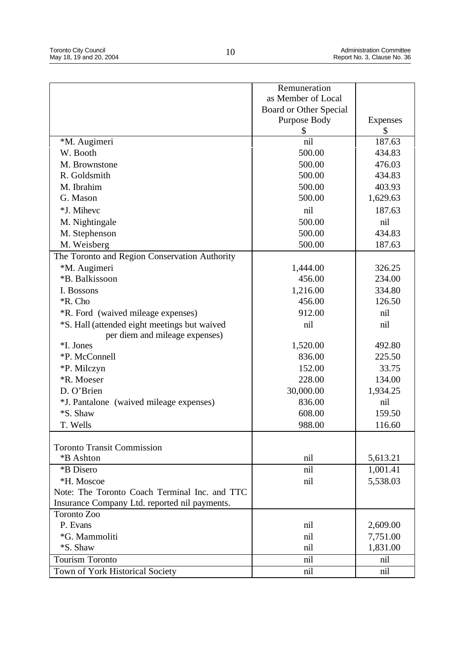|                                                                                | Remuneration           |                 |
|--------------------------------------------------------------------------------|------------------------|-----------------|
|                                                                                | as Member of Local     |                 |
|                                                                                | Board or Other Special |                 |
|                                                                                | Purpose Body           | <b>Expenses</b> |
|                                                                                | \$                     | \$              |
| *M. Augimeri                                                                   | nil                    | 187.63          |
| W. Booth                                                                       | 500.00                 | 434.83          |
| M. Brownstone                                                                  | 500.00                 | 476.03          |
| R. Goldsmith                                                                   | 500.00                 | 434.83          |
| M. Ibrahim                                                                     | 500.00                 | 403.93          |
| G. Mason                                                                       | 500.00                 | 1,629.63        |
| *J. Mihevc                                                                     | nil                    | 187.63          |
| M. Nightingale                                                                 | 500.00                 | nil             |
| M. Stephenson                                                                  | 500.00                 | 434.83          |
| M. Weisberg                                                                    | 500.00                 | 187.63          |
| The Toronto and Region Conservation Authority                                  |                        |                 |
| *M. Augimeri                                                                   | 1,444.00               | 326.25          |
| *B. Balkissoon                                                                 | 456.00                 | 234.00          |
| I. Bossons                                                                     | 1,216.00               | 334.80          |
| *R. Cho                                                                        | 456.00                 | 126.50          |
| *R. Ford (waived mileage expenses)                                             | 912.00                 | nil             |
|                                                                                | nil                    | nil             |
| *S. Hall (attended eight meetings but waived<br>per diem and mileage expenses) |                        |                 |
| *I. Jones                                                                      | 1,520.00               | 492.80          |
| *P. McConnell                                                                  | 836.00                 | 225.50          |
| *P. Milczyn                                                                    | 152.00                 | 33.75           |
| *R. Moeser                                                                     | 228.00                 | 134.00          |
| D. O'Brien                                                                     | 30,000.00              |                 |
|                                                                                | 836.00                 | 1,934.25<br>nil |
| *J. Pantalone (waived mileage expenses)<br>*S. Shaw                            | 608.00                 | 159.50          |
|                                                                                |                        |                 |
| T. Wells                                                                       | 988.00                 | 116.60          |
| <b>Toronto Transit Commission</b>                                              |                        |                 |
| *B Ashton                                                                      | nil                    | 5,613.21        |
| *B Disero                                                                      | nil                    | 1,001.41        |
| *H. Moscoe                                                                     | nil                    | 5,538.03        |
| Note: The Toronto Coach Terminal Inc. and TTC                                  |                        |                 |
| Insurance Company Ltd. reported nil payments.                                  |                        |                 |
| Toronto Zoo                                                                    |                        |                 |
| P. Evans                                                                       | nil                    | 2,609.00        |
| *G. Mammoliti                                                                  | nil                    | 7,751.00        |
| *S. Shaw                                                                       | nil                    | 1,831.00        |
| <b>Tourism Toronto</b>                                                         | nil                    | nil             |
| Town of York Historical Society                                                | nil                    | nil             |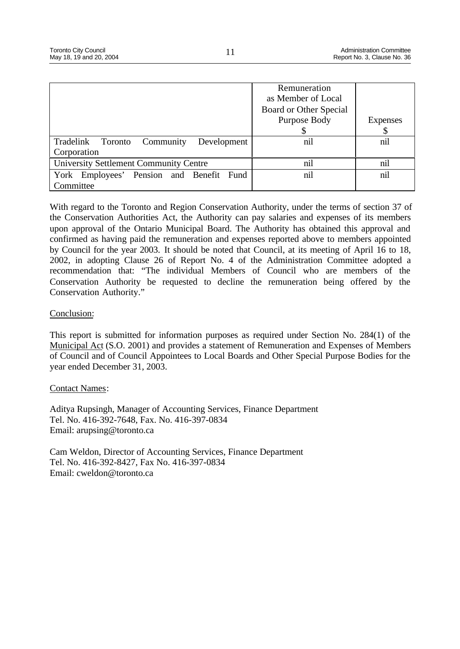|                                                  | Remuneration<br>as Member of Local<br>Board or Other Special<br>Purpose Body | Expenses |
|--------------------------------------------------|------------------------------------------------------------------------------|----------|
| Tradelink<br>Development<br>Community<br>Toronto | nil                                                                          | nil      |
| Corporation                                      |                                                                              |          |
| University Settlement Community Centre           | nil                                                                          | nil      |
| York Employees' Pension and Benefit Fund         | nil                                                                          | nil      |
| Committee                                        |                                                                              |          |

With regard to the Toronto and Region Conservation Authority, under the terms of section 37 of the Conservation Authorities Act, the Authority can pay salaries and expenses of its members upon approval of the Ontario Municipal Board. The Authority has obtained this approval and confirmed as having paid the remuneration and expenses reported above to members appointed by Council for the year 2003. It should be noted that Council, at its meeting of April 16 to 18, 2002, in adopting Clause 26 of Report No. 4 of the Administration Committee adopted a recommendation that: "The individual Members of Council who are members of the Conservation Authority be requested to decline the remuneration being offered by the Conservation Authority."

## Conclusion:

This report is submitted for information purposes as required under Section No. 284(1) of the Municipal Act (S.O. 2001) and provides a statement of Remuneration and Expenses of Members of Council and of Council Appointees to Local Boards and Other Special Purpose Bodies for the year ended December 31, 2003.

## Contact Names:

Aditya Rupsingh, Manager of Accounting Services, Finance Department Tel. No. 416-392-7648, Fax. No. 416-397-0834 Email: arupsing@toronto.ca

Cam Weldon, Director of Accounting Services, Finance Department Tel. No. 416-392-8427, Fax No. 416-397-0834 Email: cweldon@toronto.ca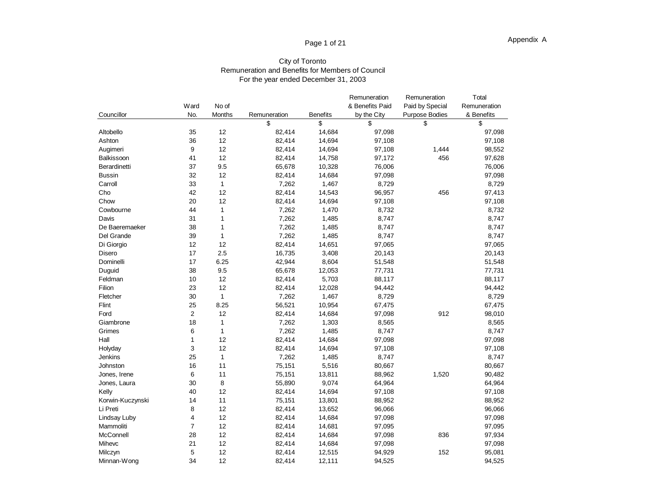## Page 1 of 21

#### City of Toronto Remuneration and Benefits for Members of Council For the year ended December 31, 2003

|                  |                |              |              |                 | Remuneration    | Remuneration          | Total        |
|------------------|----------------|--------------|--------------|-----------------|-----------------|-----------------------|--------------|
|                  | Ward           | No of        |              |                 | & Benefits Paid | Paid by Special       | Remuneration |
| Councillor       | No.            | Months       | Remuneration | <b>Benefits</b> | by the City     | <b>Purpose Bodies</b> | & Benefits   |
|                  |                |              | \$           | \$              | \$              | \$                    | \$           |
| Altobello        | 35             | 12           | 82,414       | 14,684          | 97,098          |                       | 97,098       |
| Ashton           | 36             | 12           | 82,414       | 14,694          | 97,108          |                       | 97,108       |
| Augimeri         | 9              | 12           | 82,414       | 14,694          | 97,108          | 1,444                 | 98,552       |
| Balkissoon       | 41             | 12           | 82,414       | 14,758          | 97,172          | 456                   | 97,628       |
| Berardinetti     | 37             | 9.5          | 65,678       | 10,328          | 76,006          |                       | 76,006       |
| <b>Bussin</b>    | 32             | 12           | 82,414       | 14,684          | 97,098          |                       | 97,098       |
| Carroll          | 33             | 1            | 7,262        | 1,467           | 8,729           |                       | 8,729        |
| Cho              | 42             | 12           | 82,414       | 14,543          | 96,957          | 456                   | 97,413       |
| Chow             | 20             | 12           | 82,414       | 14,694          | 97,108          |                       | 97,108       |
| Cowbourne        | 44             | 1            | 7,262        | 1,470           | 8,732           |                       | 8,732        |
| Davis            | 31             | 1            | 7,262        | 1,485           | 8,747           |                       | 8,747        |
| De Baeremaeker   | 38             | 1            | 7,262        | 1,485           | 8,747           |                       | 8,747        |
| Del Grande       | 39             | $\mathbf{1}$ | 7,262        | 1,485           | 8,747           |                       | 8,747        |
| Di Giorgio       | 12             | 12           | 82,414       | 14,651          | 97,065          |                       | 97,065       |
| Disero           | 17             | 2.5          | 16,735       | 3,408           | 20,143          |                       | 20,143       |
| Dominelli        | 17             | 6.25         | 42,944       | 8,604           | 51,548          |                       | 51,548       |
| Duguid           | 38             | 9.5          | 65,678       | 12,053          | 77,731          |                       | 77,731       |
| Feldman          | 10             | 12           | 82,414       | 5,703           | 88,117          |                       | 88,117       |
| Filion           | 23             | 12           | 82,414       | 12,028          | 94,442          |                       | 94,442       |
| Fletcher         | 30             | 1            | 7,262        | 1,467           | 8,729           |                       | 8,729        |
| Flint            | 25             | 8.25         | 56,521       | 10,954          | 67,475          |                       | 67,475       |
| Ford             | $\overline{c}$ | 12           | 82,414       | 14,684          | 97,098          | 912                   | 98,010       |
| Giambrone        | 18             | 1            | 7,262        | 1,303           | 8,565           |                       | 8,565        |
| Grimes           | 6              | $\mathbf{1}$ | 7,262        | 1,485           | 8,747           |                       | 8,747        |
| Hall             | $\mathbf{1}$   | 12           | 82,414       | 14,684          | 97,098          |                       | 97,098       |
| Holyday          | 3              | 12           | 82,414       | 14,694          | 97,108          |                       | 97,108       |
| Jenkins          | 25             | $\mathbf{1}$ | 7,262        | 1,485           | 8,747           |                       | 8,747        |
| Johnston         | 16             | 11           | 75,151       | 5,516           | 80,667          |                       | 80,667       |
| Jones, Irene     | 6              | 11           | 75,151       | 13,811          | 88,962          | 1,520                 | 90,482       |
| Jones, Laura     | 30             | 8            | 55,890       | 9,074           | 64,964          |                       | 64,964       |
| Kelly            | 40             | 12           | 82,414       | 14,694          | 97,108          |                       | 97,108       |
| Korwin-Kuczynski | 14             | 11           | 75,151       | 13,801          | 88,952          |                       | 88,952       |
| Li Preti         | 8              | 12           | 82,414       | 13,652          | 96,066          |                       | 96,066       |
| Lindsay Luby     | 4              | 12           | 82,414       | 14,684          | 97,098          |                       | 97,098       |
| Mammoliti        | $\overline{7}$ | 12           | 82,414       | 14,681          | 97,095          |                       | 97,095       |
| McConnell        | 28             | 12           | 82,414       | 14,684          | 97,098          | 836                   | 97,934       |
| Mihevc           | 21             | 12           | 82,414       | 14,684          | 97,098          |                       | 97,098       |
| Milczyn          | 5              | 12           | 82,414       | 12,515          | 94,929          | 152                   | 95,081       |
| Minnan-Wong      | 34             | 12           | 82,414       | 12,111          | 94,525          |                       | 94,525       |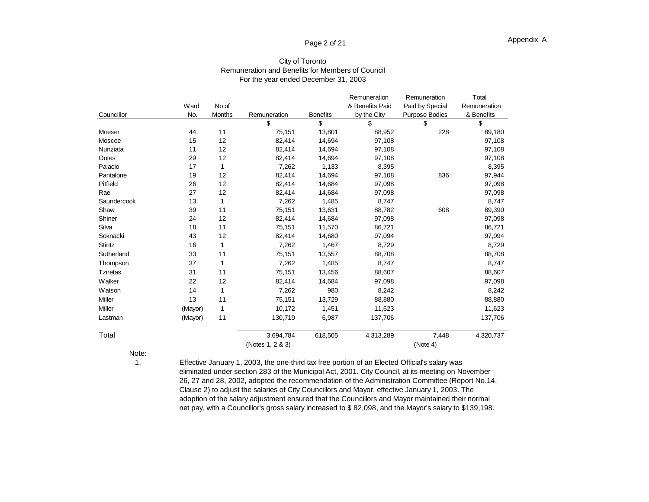## Page 2 of 21

| Councillor      | Ward<br>No. | No of<br><b>Months</b> | Remuneration     | <b>Benefits</b> | Remuneration<br>& Benefits Paid<br>by the City | Remuneration<br>Paid by Special<br><b>Purpose Bodies</b> | Total<br>Remuneration<br>& Benefits |
|-----------------|-------------|------------------------|------------------|-----------------|------------------------------------------------|----------------------------------------------------------|-------------------------------------|
|                 |             |                        | \$               | \$              | \$                                             | \$                                                       | \$                                  |
| Moeser          | 44          | 11                     | 75,151           | 13,801          | 88,952                                         | 228                                                      | 89,180                              |
| Moscoe          | 15          | 12                     | 82,414           | 14,694          | 97,108                                         |                                                          | 97,108                              |
| Nunziata        | 11          | 12                     | 82,414           | 14,694          | 97,108                                         |                                                          | 97,108                              |
| Ootes           | 29          | 12                     | 82,414           | 14,694          | 97,108                                         |                                                          | 97,108                              |
| Palacio         | 17          | 1                      | 7,262            | 1,133           | 8,395                                          |                                                          | 8,395                               |
| Pantalone       | 19          | 12                     | 82,414           | 14,694          | 97,108                                         | 836                                                      | 97,944                              |
| Pitfield        | 26          | 12                     | 82,414           | 14,684          | 97,098                                         |                                                          | 97,098                              |
| Rae             | 27          | 12                     | 82,414           | 14,684          | 97,098                                         |                                                          | 97,098                              |
| Saundercook     | 13          | 1                      | 7,262            | 1,485           | 8,747                                          |                                                          | 8,747                               |
| Shaw            | 39          | 11                     | 75,151           | 13,631          | 88,782                                         | 608                                                      | 89,390                              |
| Shiner          | 24          | 12                     | 82,414           | 14,684          | 97,098                                         |                                                          | 97,098                              |
| Silva           | 18          | 11                     | 75,151           | 11,570          | 86,721                                         |                                                          | 86,721                              |
| Soknacki        | 43          | 12                     | 82,414           | 14,680          | 97,094                                         |                                                          | 97,094                              |
| <b>Stintz</b>   | 16          | 1                      | 7,262            | 1,467           | 8,729                                          |                                                          | 8,729                               |
| Sutherland      | 33          | 11                     | 75,151           | 13,557          | 88,708                                         |                                                          | 88,708                              |
| Thompson        | 37          | 1                      | 7,262            | 1,485           | 8,747                                          |                                                          | 8,747                               |
| <b>Tziretas</b> | 31          | 11                     | 75,151           | 13,456          | 88,607                                         |                                                          | 88,607                              |
| Walker          | 22          | 12                     | 82,414           | 14,684          | 97,098                                         |                                                          | 97,098                              |
| Watson          | 14          | 1                      | 7,262            | 980             | 8,242                                          |                                                          | 8,242                               |
| Miller          | 13          | 11                     | 75,151           | 13,729          | 88,880                                         |                                                          | 88,880                              |
| Miller          | (Mayor)     | $\mathbf{1}$           | 10,172           | 1,451           | 11,623                                         |                                                          | 11,623                              |
| Lastman         | (Mayor)     | 11                     | 130,719          | 6,987           | 137,706                                        |                                                          | 137,706                             |
| Total           |             |                        | 3,694,784        | 618,505         | 4,313,289                                      | 7,448                                                    | 4,320,737                           |
|                 |             |                        | (Notes 1, 2 & 3) |                 |                                                | (Note 4)                                                 |                                     |

#### City of Toronto Remuneration and Benefits for Members of Council For the year ended December 31, 2003

Note:

1. Effective January 1, 2003, the one-third tax free portion of an Elected Official's salary was eliminated under section 283 of the Municipal Act, 2001. City Council, at its meeting on November 26, 27 and 28, 2002, adopted the recommendation of the Administration Committee (Report No.14, Clause 2) to adjust the salaries of City Councillors and Mayor, effective January 1, 2003. The adoption of the salary adjustment ensured that the Councillors and Mayor maintained their normal net pay, with a Councillor's gross salary increased to \$ 82,098, and the Mayor's salary to \$139,198.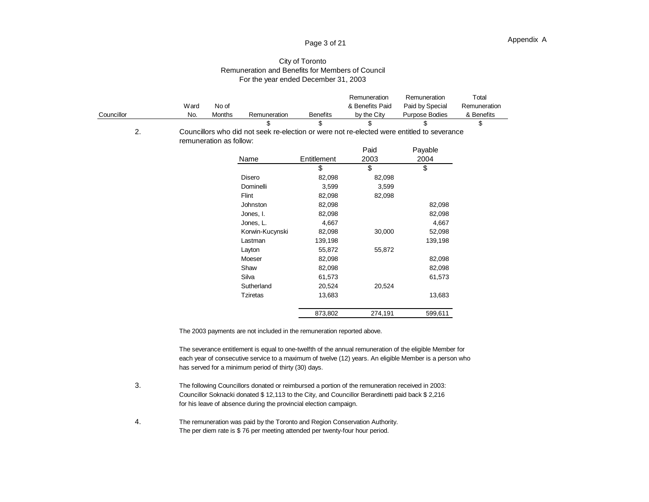## Page 3 of 21

#### City of Toronto Remuneration and Benefits for Members of Council For the year ended December 31, 2003

|            |      |                         |                                                                                            |                 | Remuneration    | Remuneration    | Total        |
|------------|------|-------------------------|--------------------------------------------------------------------------------------------|-----------------|-----------------|-----------------|--------------|
|            | Ward | No of                   |                                                                                            |                 | & Benefits Paid | Paid by Special | Remuneration |
| Councillor | No.  | Months                  | Remuneration                                                                               | <b>Benefits</b> | by the City     | Purpose Bodies  | & Benefits   |
|            |      |                         | \$                                                                                         | \$              | \$              | \$              | \$           |
| 2.         |      |                         | Councillors who did not seek re-election or were not re-elected were entitled to severance |                 |                 |                 |              |
|            |      | remuneration as follow: |                                                                                            |                 |                 |                 |              |
|            |      |                         |                                                                                            |                 | Paid            | Payable         |              |
|            |      |                         | Name                                                                                       | Entitlement     | 2003            | 2004            |              |
|            |      |                         |                                                                                            | \$              | \$              | \$              |              |
|            |      |                         | Disero                                                                                     | 82,098          | 82,098          |                 |              |
|            |      |                         | Dominelli                                                                                  | 3,599           | 3,599           |                 |              |
|            |      |                         | Flint                                                                                      | 82,098          | 82,098          |                 |              |
|            |      |                         | Johnston                                                                                   | 82,098          |                 | 82,098          |              |
|            |      |                         | Jones, I.                                                                                  | 82,098          |                 | 82,098          |              |
|            |      |                         | Jones, L.                                                                                  | 4,667           |                 | 4,667           |              |
|            |      |                         | Korwin-Kucynski                                                                            | 82,098          | 30,000          | 52,098          |              |
|            |      |                         | Lastman                                                                                    | 139,198         |                 | 139,198         |              |
|            |      |                         | Layton                                                                                     | 55,872          | 55,872          |                 |              |
|            |      |                         | Moeser                                                                                     | 82,098          |                 | 82,098          |              |
|            |      |                         | Shaw                                                                                       | 82,098          |                 | 82,098          |              |
|            |      |                         | Silva                                                                                      | 61,573          |                 | 61,573          |              |
|            |      |                         | Sutherland                                                                                 | 20,524          | 20,524          |                 |              |
|            |      |                         | Tziretas                                                                                   | 13,683          |                 | 13,683          |              |
|            |      |                         |                                                                                            | 873,802         | 274,191         | 599,611         |              |

The 2003 payments are not included in the remuneration reported above.

The severance entitlement is equal to one-twelfth of the annual remuneration of the eligible Member for each year of consecutive service to a maximum of twelve (12) years. An eligible Member is a person who has served for a minimum period of thirty (30) days.

- 3. The following Councillors donated or reimbursed a portion of the remuneration received in 2003: Councillor Soknacki donated \$ 12,113 to the City, and Councillor Berardinetti paid back \$ 2,216 for his leave of absence during the provincial election campaign.
- 4. The remuneration was paid by the Toronto and Region Conservation Authority. The per diem rate is \$ 76 per meeting attended per twenty-four hour period.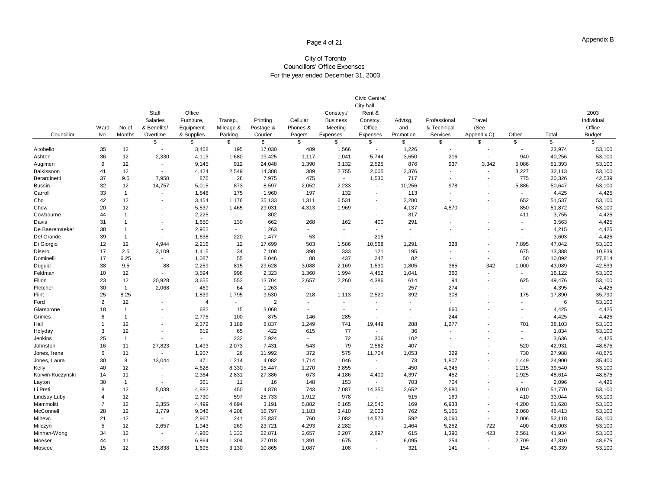## Page 4 of 21

#### City of Toronto Councillors' Office Expenses For the year ended December 31, 2003

| Councillor       | Ward<br>No.    | No of<br><b>Months</b> | Staff<br><b>Salaries</b><br>& Benefits/<br>Overtime | Office<br>Furniture,<br>Equipment<br>& Supplies | Transp.,<br>Mileage &<br>Parking | Printing<br>Postage &<br>Courier | Cellular<br>Phones &<br>Pagers | Constcy./<br><b>Business</b><br>Meeting<br>Expenses | Civic Centre/<br>City hall<br>Rent &<br>Constcy.<br>Office<br>Expenses | Advtsg.<br>and<br>Promotion | Professional<br>& Technical<br>Services | Travel<br>(See<br>Appendix C) | Other                    | Total  | 2003<br>Individual<br>Office<br><b>Budget</b> |
|------------------|----------------|------------------------|-----------------------------------------------------|-------------------------------------------------|----------------------------------|----------------------------------|--------------------------------|-----------------------------------------------------|------------------------------------------------------------------------|-----------------------------|-----------------------------------------|-------------------------------|--------------------------|--------|-----------------------------------------------|
|                  |                |                        | \$                                                  | \$                                              | \$                               | \$                               | \$                             | \$                                                  | \$                                                                     | \$                          | \$                                      | \$                            | \$                       | \$     | $\mathfrak{L}$                                |
| Altobello        | 35             | 12                     | $\blacksquare$                                      | 3,468                                           | 195                              | 17,030                           | 489                            | 1,566                                               | $\blacksquare$                                                         | 1,226                       | ÷,                                      | $\blacksquare$                | $\overline{\phantom{a}}$ | 23,974 | 53,100                                        |
| Ashton           | 36             | 12                     | 2,330                                               | 4,113                                           | 1,680                            | 19,425                           | 1,117                          | 1,041                                               | 5,744                                                                  | 3,650                       | 216                                     | $\blacksquare$                | 940                      | 40,256 | 53,100                                        |
| Augimeri         | 9              | 12                     | $\sim$                                              | 9,145                                           | 912                              | 24,048                           | 1,390                          | 3,132                                               | 2,525                                                                  | 876                         | 937                                     | 3,342                         | 5,086                    | 51,393 | 53,100                                        |
| Balkissoon       | 41             | 12                     | $\blacksquare$                                      | 4,424                                           | 2,549                            | 14,388                           | 389                            | 2,755                                               | 2,005                                                                  | 2,376                       | $\overline{\phantom{a}}$                | $\blacksquare$                | 3,227                    | 32,113 | 53,100                                        |
| Berardinetti     | 37             | 9.5                    | 7,950                                               | 876                                             | 28                               | 7,975                            | 475                            | $\sim$                                              | 1,530                                                                  | 717                         | $\blacksquare$                          | $\overline{\phantom{a}}$      | 775                      | 20,326 | 42,539                                        |
| <b>Bussin</b>    | 32             | 12                     | 14,757                                              | 5,015                                           | 873                              | 8,597                            | 2,052                          | 2,233                                               | $\blacksquare$                                                         | 10,256                      | 978                                     | $\overline{\phantom{a}}$      | 5,886                    | 50,647 | 53,100                                        |
| Carroll          | 33             | $\mathbf{1}$           | $\overline{\phantom{a}}$                            | 1,848                                           | 175                              | 1,960                            | 197                            | 132                                                 | $\overline{\phantom{a}}$                                               | 113                         | $\overline{\phantom{a}}$                |                               |                          | 4,425  | 4,425                                         |
| Cho              | 42             | 12                     | $\blacksquare$                                      | 3,454                                           | 1,176                            | 35,133                           | 1,311                          | 6,531                                               | $\blacksquare$                                                         | 3,280                       | $\sim$                                  | $\overline{\phantom{a}}$      | 652                      | 51,537 | 53,100                                        |
| Chow             | 20             | 12                     | $\blacksquare$                                      | 5,537                                           | 1,465                            | 29,031                           | 4,313                          | 1,969                                               | $\overline{\phantom{a}}$                                               | 4,137                       | 4,570                                   |                               | 850                      | 51,872 | 53,100                                        |
| Cowbourne        | 44             | $\mathbf{1}$           | $\overline{\phantom{a}}$                            | 2,225                                           | $\sim$                           | 802                              | $\sim$                         | $\sim$                                              | $\blacksquare$                                                         | 317                         | $\overline{\phantom{a}}$                | $\overline{\phantom{a}}$      | 411                      | 3,755  | 4,425                                         |
| Davis            | 31             | $\mathbf{1}$           | $\blacksquare$                                      | 1,650                                           | 130                              | 662                              | 268                            | 162                                                 | 400                                                                    | 291                         |                                         |                               |                          | 3,563  | 4,425                                         |
| De Baeremaeker   | 38             | $\mathbf{1}$           | $\blacksquare$                                      | 2,952                                           | $\sim$                           | 1,263                            | $\sim$                         | $\sim$                                              | $\sim$                                                                 | $\overline{\phantom{a}}$    | ٠                                       |                               | $\overline{\phantom{a}}$ | 4,215  | 4,425                                         |
| Del Grande       | 39             | $\mathbf{1}$           | $\blacksquare$                                      | 1,638                                           | 220                              | 1,477                            | 53                             | $\sim$                                              | 215                                                                    | $\overline{\phantom{a}}$    |                                         |                               |                          | 3,603  | 4,425                                         |
| Di Giorgio       | 12             | 12                     | 4,944                                               | 2,216                                           | 12                               | 17,699                           | 503                            | 1,586                                               | 10,568                                                                 | 1,291                       | 328                                     | $\overline{\phantom{a}}$      | 7,895                    | 47,042 | 53,100                                        |
| Disero           | 17             | 2.5                    | 3,109                                               | 1,415                                           | 34                               | 7,108                            | 398                            | 333                                                 | 121                                                                    | 195                         | $\blacksquare$                          |                               | 675                      | 13,388 | 10,839                                        |
| Dominelli        | 17             | 6.25                   | $\blacksquare$                                      | 1,087                                           | 55                               | 8,046                            | 88                             | 437                                                 | 247                                                                    | 82                          | $\overline{\phantom{a}}$                | $\overline{\phantom{a}}$      | 50                       | 10,092 | 27,814                                        |
| Duguid           | 38             | 9.5                    | 88                                                  | 2,259                                           | 815                              | 29,628                           | 3,088                          | 2,169                                               | 1,530                                                                  | 1,805                       | 365                                     | 342                           | 1,000                    | 43,089 | 42,539                                        |
| Feldman          | 10             | 12                     | $\blacksquare$                                      | 3,594                                           | 998                              | 2,323                            | 1,360                          | 1,994                                               | 4,452                                                                  | 1,041                       | 360                                     | $\overline{\phantom{a}}$      | $\blacksquare$           | 16,122 | 53,100                                        |
| Filion           | 23             | 12                     | 20,928                                              | 3,655                                           | 553                              | 13,704                           | 2,657                          | 2,260                                               | 4,386                                                                  | 614                         | 94                                      | $\overline{\phantom{a}}$      | 625                      | 49,476 | 53,100                                        |
| Fletcher         | 30             | $\mathbf{1}$           | 2,068                                               | 469                                             | 64                               | 1,263                            | $\blacksquare$                 | $\sim$                                              | $\sim$                                                                 | 257                         | 274                                     | $\overline{\phantom{a}}$      | $\sim$                   | 4,395  | 4,425                                         |
| Flint            | 25             | 8.25                   | ٠                                                   | 1,839                                           | 1,795                            | 9,530                            | 218                            | 1,113                                               | 2,520                                                                  | 392                         | 308                                     |                               | 175                      | 17,890 | 35,790                                        |
| Ford             | $\overline{2}$ | 12                     | $\blacksquare$                                      | $\overline{4}$                                  | $\sim$                           | 2                                | $\sim$                         | $\sim$                                              | $\sim$                                                                 | $\sim$                      | ÷,                                      | $\overline{\phantom{a}}$      | $\overline{\phantom{a}}$ | 6      | 53,100                                        |
| Giambrone        | 18             | $\mathbf{1}$           |                                                     | 682                                             | 15                               | 3,068                            | $\overline{\phantom{a}}$       | $\sim$                                              | $\overline{\phantom{a}}$                                               |                             | 660                                     |                               |                          | 4,425  | 4,425                                         |
| Grimes           | 6              | $\mathbf{1}$           | $\overline{\phantom{a}}$                            | 2,775                                           | 100                              | 875                              | 146                            | 285                                                 | $\overline{\phantom{a}}$                                               | $\overline{\phantom{a}}$    | 244                                     |                               | $\overline{\phantom{a}}$ | 4,425  | 4,425                                         |
| Hall             | $\mathbf{1}$   | 12                     |                                                     | 2,372                                           | 3,189                            | 8,837                            | 1,249                          | 741                                                 | 19,449                                                                 | 288                         | 1,277                                   |                               | 701                      | 38,103 | 53,100                                        |
| Holyday          | 3              | 12                     | $\overline{a}$                                      | 619                                             | 65                               | 422                              | 615                            | 77                                                  | $\blacksquare$                                                         | 36                          | $\blacksquare$                          |                               | $\overline{\phantom{a}}$ | 1,834  | 53,100                                        |
| Jenkins          | 25             | $\mathbf{1}$           | ÷                                                   | $\overline{\phantom{a}}$                        | 232                              | 2,924                            | $\sim$                         | 72                                                  | 306                                                                    | 102                         | ۰                                       |                               | $\overline{\phantom{a}}$ | 3,636  | 4,425                                         |
| Johnston         | 16             | 11                     | 27,823                                              | 1,493                                           | 2,073                            | 7,431                            | 543                            | 79                                                  | 2,562                                                                  | 407                         | $\overline{\phantom{a}}$                |                               | 520                      | 42,931 | 48,675                                        |
| Jones, Irene     | 6              | 11                     | $\sim$                                              | 1,207                                           | 26                               | 11,992                           | 372                            | 575                                                 | 11,704                                                                 | 1,053                       | 329                                     | $\overline{\phantom{a}}$      | 730                      | 27,988 | 48,675                                        |
| Jones, Laura     | 30             | 8                      | 13,044                                              | 471                                             | 1,214                            | 4,082                            | 1,714                          | 1,046                                               | $\blacksquare$                                                         | 73                          | 1,807                                   | $\overline{\phantom{a}}$      | 1,449                    | 24,900 | 35,400                                        |
| Kelly            | 40             | 12                     | $\blacksquare$                                      | 4,628                                           | 8,330                            | 15,447                           | 1,270                          | 3,855                                               | $\sim$                                                                 | 450                         | 4,345                                   | $\overline{\phantom{a}}$      | 1,215                    | 39,540 | 53,100                                        |
| Korwin-Kuczynski | 14             | 11                     | $\overline{\phantom{a}}$                            | 2,364                                           | 2,831                            | 27,386                           | 673                            | 4,186                                               | 4,400                                                                  | 4,397                       | 452                                     | $\overline{\phantom{a}}$      | 1,925                    | 48,614 | 48,675                                        |
| Layton           | 30             | $\mathbf{1}$           | $\blacksquare$                                      | 361                                             | 11                               | 16                               | 148                            | 153                                                 | $\blacksquare$                                                         | 703                         | 704                                     |                               | $\sim$                   | 2,096  | 4,425                                         |
| Li Preti         | 8              | 12                     | 5,038                                               | 4,882                                           | 450                              | 4,878                            | 743                            | 7,087                                               | 14,350                                                                 | 2,652                       | 2,680                                   | $\blacksquare$                | 9,010                    | 51,770 | 53,100                                        |
| Lindsay Luby     | 4              | 12                     | $\blacksquare$                                      | 2,730                                           | 597                              | 25,733                           | 1,912                          | 978                                                 | $\sim$                                                                 | 515                         | 169                                     | $\overline{\phantom{a}}$      | 410                      | 33,044 | 53,100                                        |
| Mammoliti        | $\overline{7}$ | 12                     | 3,355                                               | 4,499                                           | 4,694                            | 3,191                            | 5,882                          | 6,165                                               | 12,540                                                                 | 169                         | 6,933                                   | $\overline{\phantom{a}}$      | 4,200                    | 51,628 | 53,100                                        |
| McConnell        | 28             | 12                     | 1,779                                               | 9,046                                           | 4,208                            | 16,797                           | 1,183                          | 3,410                                               | 2,003                                                                  | 762                         | 5,165                                   | $\overline{\phantom{a}}$      | 2,060                    | 46,413 | 53,100                                        |
| Mihevc           | 21             | 12                     | $\sim$                                              | 2,967                                           | 241                              | 25,837                           | 760                            | 2,082                                               | 14,573                                                                 | 592                         | 3,060                                   | $\sim$                        | 2,006                    | 52,118 | 53,100                                        |
| Milczyn          | 5              | 12                     | 2,657                                               | 1,943                                           | 269                              | 23,721                           | 4,293                          | 2,282                                               | $\sim$                                                                 | 1,464                       | 5,252                                   | 722                           | 400                      | 43,003 | 53,100                                        |
| Minnan-Wong      | 34             | 12                     |                                                     | 4,980                                           | 1,333                            | 22,871                           | 2,657                          | 2,207                                               | 2,897                                                                  | 615                         | 1,390                                   | 423                           | 2,561                    | 41,934 | 53,100                                        |
| Moeser           | 44             | 11                     |                                                     | 6,864                                           | 1,304                            | 27,018                           | 1,391                          | 1,675                                               | $\blacksquare$                                                         | 6,095                       | 254                                     | $\overline{\phantom{a}}$      | 2,709                    | 47,310 | 48,675                                        |
| Moscoe           | 15             | 12                     | 25,838                                              | 1,695                                           | 3,130                            | 10,865                           | 1,087                          | 108                                                 | $\blacksquare$                                                         | 321                         | 141                                     | $\overline{\phantom{a}}$      | 154                      | 43,339 | 53,100                                        |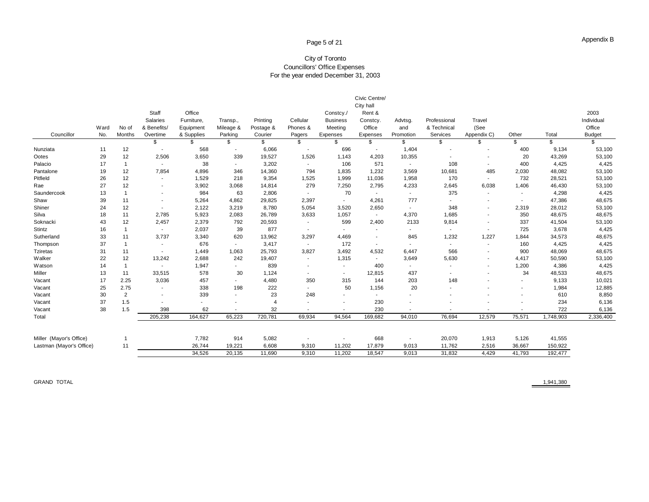## Page 5 of 21

#### City of Toronto Councillors' Office Expenses For the year ended December 31, 2003

|                          |      |                |                          |            |                          |                |                          |                 | Civic Centre/            |                          |                          |                          |                          |           |               |
|--------------------------|------|----------------|--------------------------|------------|--------------------------|----------------|--------------------------|-----------------|--------------------------|--------------------------|--------------------------|--------------------------|--------------------------|-----------|---------------|
|                          |      |                |                          |            |                          |                |                          |                 | City hall                |                          |                          |                          |                          |           |               |
|                          |      |                | Staff                    | Office     |                          |                |                          | Constcy./       | Rent &                   |                          |                          |                          |                          |           | 2003          |
|                          |      |                | Salaries                 | Furniture. | Transp.,                 | Printing       | Cellular                 | <b>Business</b> | Constcy.                 | Advtsg.                  | Professional             | Travel                   |                          |           | Individual    |
|                          | Ward | No of          | & Benefits/              | Equipment  | Mileage &                | Postage &      | Phones &                 | Meeting         | Office                   | and                      | & Technical              | (See                     |                          |           | Office        |
| Councillor               | No.  | Months         | Overtime                 | & Supplies | Parking                  | Courier        | Pagers                   | Expenses        | Expenses                 | Promotion                | Services                 | Appendix C)              | Other                    | Total     | <b>Budget</b> |
|                          |      |                | \$                       | \$         | \$                       | \$             | \$                       | \$              | \$                       | \$                       | \$                       | \$                       | \$                       | \$        | \$            |
| Nunziata                 | 11   | 12             | $\overline{\phantom{a}}$ | 568        | $\sim$                   | 6,066          | $\sim$                   | 696             | $\sim$                   | 1,404                    |                          |                          | 400                      | 9,134     | 53,100        |
| Ootes                    | 29   | 12             | 2,506                    | 3,650      | 339                      | 19,527         | 1,526                    | 1,143           | 4,203                    | 10,355                   |                          |                          | 20                       | 43,269    | 53,100        |
| Palacio                  | 17   | $\overline{1}$ | $\overline{\phantom{a}}$ | 38         | $\sim$                   | 3,202          | $\sim$                   | 106             | 571                      | $\sim$                   | 108                      | $\overline{\phantom{a}}$ | 400                      | 4,425     | 4,425         |
| Pantalone                | 19   | 12             | 7,854                    | 4,896      | 346                      | 14,360         | 794                      | 1,835           | 1,232                    | 3,569                    | 10,681                   | 485                      | 2,030                    | 48,082    | 53,100        |
| Pitfield                 | 26   | 12             | $\overline{\phantom{a}}$ | 1,529      | 218                      | 9,354          | 1,525                    | 1,999           | 11,036                   | 1,958                    | 170                      | $\sim$                   | 732                      | 28,521    | 53,100        |
| Rae                      | 27   | 12             | $\overline{\phantom{a}}$ | 3,902      | 3,068                    | 14,814         | 279                      | 7,250           | 2,795                    | 4,233                    | 2,645                    | 6,038                    | 1,406                    | 46,430    | 53,100        |
| Saundercook              | 13   | $\mathbf{1}$   | $\overline{\phantom{a}}$ | 984        | 63                       | 2,806          | $\sim$                   | 70              | $\sim$                   | $\sim$                   | 375                      | $\sim$                   | $\overline{\phantom{a}}$ | 4,298     | 4,425         |
| Shaw                     | 39   | 11             | $\overline{\phantom{a}}$ | 5,264      | 4,862                    | 29,825         | 2,397                    | $\sim$          | 4,261                    | 777                      | $\sim$                   |                          | $\overline{\phantom{a}}$ | 47,386    | 48,675        |
| Shiner                   | 24   | 12             | $\sim$                   | 2,122      | 3,219                    | 8,780          | 5,054                    | 3,520           | 2,650                    | $\sim$                   | 348                      | $\overline{\phantom{a}}$ | 2,319                    | 28,012    | 53,100        |
| Silva                    | 18   | 11             | 2,785                    | 5,923      | 2,083                    | 26,789         | 3,633                    | 1,057           | $\sim$                   | 4,370                    | 1,685                    | $\overline{\phantom{a}}$ | 350                      | 48,675    | 48,675        |
| Soknacki                 | 43   | 12             | 2,457                    | 2,379      | 792                      | 20,593         | $\sim$                   | 599             | 2,400                    | 2133                     | 9,814                    | $\overline{\phantom{a}}$ | 337                      | 41,504    | 53,100        |
| Stintz                   | 16   |                | $\sim$                   | 2,037      | 39                       | 877            | $\overline{\phantom{a}}$ | $\sim$          | $\overline{\phantom{a}}$ | $\sim$                   | $\sim$                   | $\overline{\phantom{a}}$ | 725                      | 3,678     | 4,425         |
| Sutherland               | 33   | 11             | 3,737                    | 3,340      | 620                      | 13,962         | 3,297                    | 4,469           | $\overline{\phantom{a}}$ | 845                      | 1,232                    | 1,227                    | 1,844                    | 34,573    | 48,675        |
| Thompson                 | 37   |                | $\overline{\phantom{a}}$ | 676        | $\sim$                   | 3,417          | $\sim$                   | 172             | $\sim$                   |                          | $\overline{\phantom{a}}$ | $\overline{\phantom{a}}$ | 160                      | 4,425     | 4,425         |
| <b>Tziretas</b>          | 31   | 11             | $\overline{\phantom{a}}$ | 1,449      | 1,063                    | 25,793         | 3,827                    | 3,492           | 4,532                    | 6,447                    | 566                      | $\overline{\phantom{a}}$ | 900                      | 48,069    | 48,675        |
| Walker                   | 22   | 12             | 13,242                   | 2,688      | 242                      | 19,407         | $\overline{\phantom{a}}$ | 1,315           | $\sim$                   | 3,649                    | 5,630                    | $\overline{\phantom{a}}$ | 4,417                    | 50,590    | 53,100        |
| Watson                   | 14   |                | $\overline{\phantom{a}}$ | 1,947      | $\sim$                   | 839            | $\overline{\phantom{a}}$ | $\sim$          | 400                      | $\sim$                   | $\overline{\phantom{a}}$ | $\overline{\phantom{a}}$ | 1,200                    | 4,386     | 4,425         |
| Miller                   | 13   | 11             | 33,515                   | 578        | 30                       | 1,124          | $\overline{\phantom{a}}$ | $\sim$          | 12,815                   | 437                      | $\overline{\phantom{a}}$ |                          | 34                       | 48,533    | 48,675        |
| Vacant                   | 17   | 2.25           | 3,036                    | 457        | $\sim$                   | 4,480          | 350                      | 315             | 144                      | 203                      | 148                      |                          | $\overline{\phantom{a}}$ | 9,133     | 10,021        |
| Vacant                   | 25   | 2.75           | $\overline{\phantom{a}}$ | 338        | 198                      | 222            | $\overline{\phantom{a}}$ | 50              | 1,156                    | 20                       | $\blacksquare$           |                          | $\overline{\phantom{a}}$ | 1,984     | 12,885        |
| Vacant                   | 30   | $\overline{2}$ | $\overline{\phantom{a}}$ | 339        | $\sim$                   | 23             | 248                      |                 | $\overline{\phantom{a}}$ | $\overline{\phantom{a}}$ |                          |                          |                          | 610       | 8,850         |
| Vacant                   | 37   | 1.5            | ٠                        | ٠          | $\overline{\phantom{a}}$ | $\overline{4}$ |                          |                 | 230                      |                          |                          |                          |                          | 234       | 6,136         |
| Vacant                   | 38   | 1.5            | 398                      | 62         |                          | 32             | $\overline{\phantom{a}}$ |                 | 230                      |                          |                          |                          |                          | 722       | 6,136         |
| Total                    |      |                | 205,238                  | 164,627    | 65,223                   | 720,781        | 69,934                   | 94,564          | 169,682                  | 94,010                   | 76,694                   | 12,579                   | 75,571                   | 1,748,903 | 2,336,400     |
| Miller (Mayor's Office)  |      |                |                          | 7,782      | 914                      | 5,082          |                          |                 | 668                      |                          | 20,070                   | 1,913                    | 5,126                    | 41,555    |               |
| Lastman (Mayor's Office) |      | 11             |                          | 26,744     | 19,221                   | 6,608          | 9,310                    | 11,202          | 17,879                   | 9,013                    | 11,762                   | 2,516                    | 36,667                   | 150,922   |               |
|                          |      |                |                          | 34,526     | 20,135                   | 11,690         | 9,310                    | 11.202          | 18,547                   | 9,013                    | 31,832                   | 4,429                    | 41,793                   | 192,477   |               |
|                          |      |                |                          |            |                          |                |                          |                 |                          |                          |                          |                          |                          |           |               |

GRAND TOTAL 1,941,380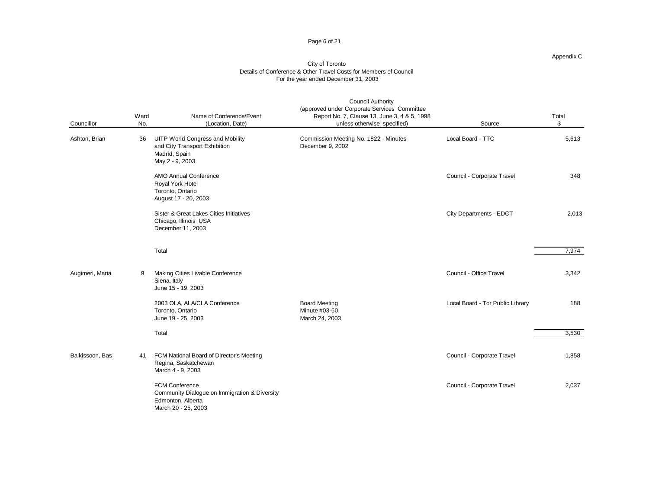#### Page 6 of 21

#### Appendix C

| Councillor      | Ward<br>No. | Name of Conference/Event<br>(Location, Date)                                                                       | <b>Council Authority</b><br>(approved under Corporate Services Committee<br>Report No. 7, Clause 13, June 3, 4 & 5, 1998<br>unless otherwise specified) | Source                           | Total<br>\$ |
|-----------------|-------------|--------------------------------------------------------------------------------------------------------------------|---------------------------------------------------------------------------------------------------------------------------------------------------------|----------------------------------|-------------|
| Ashton, Brian   | 36          | <b>UITP World Congress and Mobility</b><br>and City Transport Exhibition<br>Madrid, Spain<br>May 2 - 9, 2003       | Commission Meeting No. 1822 - Minutes<br>December 9, 2002                                                                                               | Local Board - TTC                | 5,613       |
|                 |             | <b>AMO Annual Conference</b><br>Royal York Hotel<br>Toronto, Ontario<br>August 17 - 20, 2003                       |                                                                                                                                                         | Council - Corporate Travel       | 348         |
|                 |             | Sister & Great Lakes Cities Initiatives<br>Chicago, Illinois USA<br>December 11, 2003                              |                                                                                                                                                         | City Departments - EDCT          | 2,013       |
|                 |             | Total                                                                                                              |                                                                                                                                                         |                                  | 7,974       |
| Augimeri, Maria | 9           | Making Cities Livable Conference<br>Siena, Italy<br>June 15 - 19, 2003                                             |                                                                                                                                                         | Council - Office Travel          | 3,342       |
|                 |             | 2003 OLA, ALA/CLA Conference<br>Toronto, Ontario<br>June 19 - 25, 2003                                             | <b>Board Meeting</b><br>Minute #03-60<br>March 24, 2003                                                                                                 | Local Board - Tor Public Library | 188         |
|                 |             | Total                                                                                                              |                                                                                                                                                         |                                  | 3,530       |
| Balkissoon, Bas | 41          | FCM National Board of Director's Meeting<br>Regina, Saskatchewan<br>March 4 - 9, 2003                              |                                                                                                                                                         | Council - Corporate Travel       | 1,858       |
|                 |             | <b>FCM Conference</b><br>Community Dialogue on Immigration & Diversity<br>Edmonton, Alberta<br>March 20 - 25, 2003 |                                                                                                                                                         | Council - Corporate Travel       | 2,037       |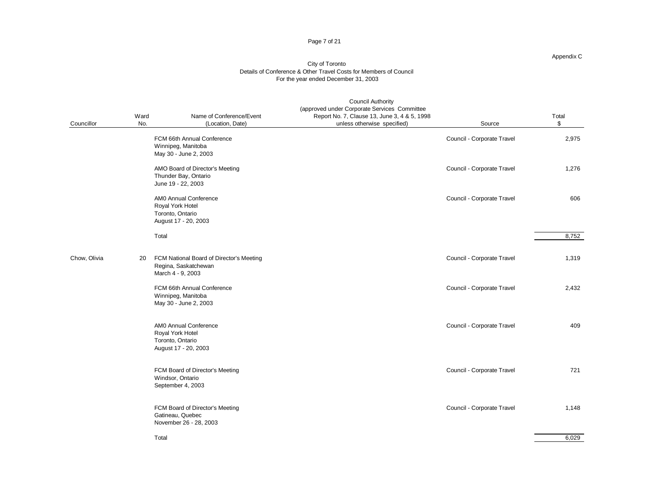#### Page 7 of 21

#### Appendix C

| Councillor   | Ward<br>No. | Name of Conference/Event<br>(Location, Date)                                          | <b>Council Authority</b><br>(approved under Corporate Services Committee<br>Report No. 7, Clause 13, June 3, 4 & 5, 1998<br>unless otherwise specified) | Source                     | Total<br>\$ |
|--------------|-------------|---------------------------------------------------------------------------------------|---------------------------------------------------------------------------------------------------------------------------------------------------------|----------------------------|-------------|
|              |             | FCM 66th Annual Conference<br>Winnipeg, Manitoba<br>May 30 - June 2, 2003             |                                                                                                                                                         | Council - Corporate Travel | 2,975       |
|              |             | AMO Board of Director's Meeting<br>Thunder Bay, Ontario<br>June 19 - 22, 2003         |                                                                                                                                                         | Council - Corporate Travel | 1,276       |
|              |             | AMO Annual Conference<br>Royal York Hotel<br>Toronto, Ontario<br>August 17 - 20, 2003 |                                                                                                                                                         | Council - Corporate Travel | 606         |
|              |             | Total                                                                                 |                                                                                                                                                         |                            | 8,752       |
| Chow, Olivia | 20          | FCM National Board of Director's Meeting<br>Regina, Saskatchewan<br>March 4 - 9, 2003 |                                                                                                                                                         | Council - Corporate Travel | 1,319       |
|              |             | FCM 66th Annual Conference<br>Winnipeg, Manitoba<br>May 30 - June 2, 2003             |                                                                                                                                                         | Council - Corporate Travel | 2,432       |
|              |             | AMO Annual Conference<br>Royal York Hotel<br>Toronto, Ontario<br>August 17 - 20, 2003 |                                                                                                                                                         | Council - Corporate Travel | 409         |
|              |             | FCM Board of Director's Meeting<br>Windsor, Ontario<br>September 4, 2003              |                                                                                                                                                         | Council - Corporate Travel | 721         |
|              |             | FCM Board of Director's Meeting<br>Gatineau, Quebec<br>November 26 - 28, 2003         |                                                                                                                                                         | Council - Corporate Travel | 1,148       |
|              |             | Total                                                                                 |                                                                                                                                                         |                            | 6,029       |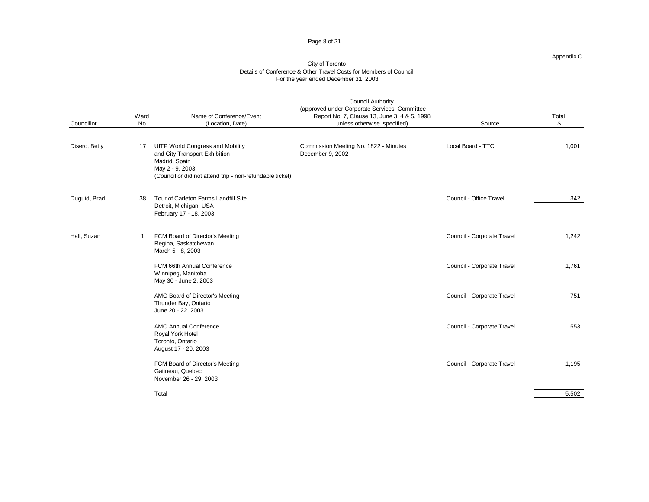#### Page 8 of 21

#### Appendix C

| Councillor    | Ward<br>No. | Name of Conference/Event<br>(Location, Date)                                                                                                                             | <b>Council Authority</b><br>(approved under Corporate Services Committee<br>Report No. 7, Clause 13, June 3, 4 & 5, 1998<br>unless otherwise specified) | Source                     | Total<br>\$ |
|---------------|-------------|--------------------------------------------------------------------------------------------------------------------------------------------------------------------------|---------------------------------------------------------------------------------------------------------------------------------------------------------|----------------------------|-------------|
| Disero, Betty | 17          | <b>UITP World Congress and Mobility</b><br>and City Transport Exhibition<br>Madrid, Spain<br>May 2 - 9, 2003<br>(Councillor did not attend trip - non-refundable ticket) | Commission Meeting No. 1822 - Minutes<br>December 9, 2002                                                                                               | Local Board - TTC          | 1,001       |
| Duguid, Brad  | 38          | Tour of Carleton Farms Landfill Site<br>Detroit, Michigan USA<br>February 17 - 18, 2003                                                                                  |                                                                                                                                                         | Council - Office Travel    | 342         |
| Hall, Suzan   | -1          | FCM Board of Director's Meeting<br>Regina, Saskatchewan<br>March 5 - 8, 2003                                                                                             |                                                                                                                                                         | Council - Corporate Travel | 1,242       |
|               |             | FCM 66th Annual Conference<br>Winnipeg, Manitoba<br>May 30 - June 2, 2003                                                                                                |                                                                                                                                                         | Council - Corporate Travel | 1,761       |
|               |             | AMO Board of Director's Meeting<br>Thunder Bay, Ontario<br>June 20 - 22, 2003                                                                                            |                                                                                                                                                         | Council - Corporate Travel | 751         |
|               |             | <b>AMO Annual Conference</b><br>Royal York Hotel<br>Toronto, Ontario<br>August 17 - 20, 2003                                                                             |                                                                                                                                                         | Council - Corporate Travel | 553         |
|               |             | FCM Board of Director's Meeting<br>Gatineau, Quebec<br>November 26 - 29, 2003                                                                                            |                                                                                                                                                         | Council - Corporate Travel | 1,195       |
|               |             | Total                                                                                                                                                                    |                                                                                                                                                         |                            | 5,502       |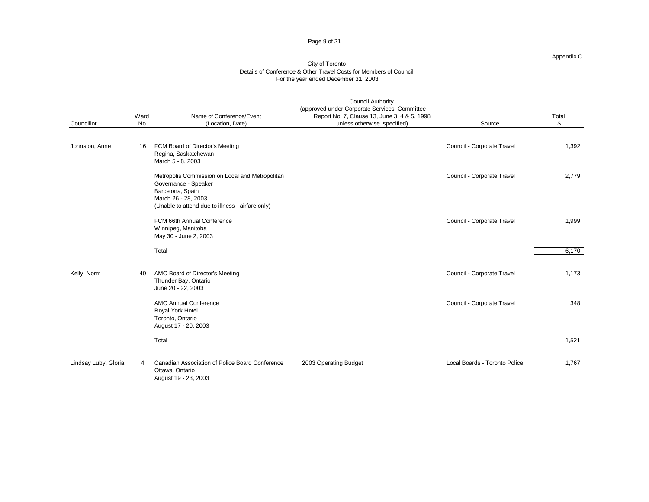#### Page 9 of 21

#### Appendix C

| Councillor           | Ward<br>No. | Name of Conference/Event<br>(Location, Date)                                                                                                                           | <b>Council Authority</b><br>(approved under Corporate Services Committee<br>Report No. 7, Clause 13, June 3, 4 & 5, 1998<br>unless otherwise specified) | Source                        | Total<br>\$ |
|----------------------|-------------|------------------------------------------------------------------------------------------------------------------------------------------------------------------------|---------------------------------------------------------------------------------------------------------------------------------------------------------|-------------------------------|-------------|
| Johnston, Anne       | 16          | FCM Board of Director's Meeting<br>Regina, Saskatchewan<br>March 5 - 8, 2003                                                                                           |                                                                                                                                                         | Council - Corporate Travel    | 1,392       |
|                      |             | Metropolis Commission on Local and Metropolitan<br>Governance - Speaker<br>Barcelona, Spain<br>March 26 - 28, 2003<br>(Unable to attend due to illness - airfare only) |                                                                                                                                                         | Council - Corporate Travel    | 2,779       |
|                      |             | FCM 66th Annual Conference<br>Winnipeg, Manitoba<br>May 30 - June 2, 2003                                                                                              |                                                                                                                                                         | Council - Corporate Travel    | 1,999       |
|                      |             | Total                                                                                                                                                                  |                                                                                                                                                         |                               | 6,170       |
| Kelly, Norm          | 40          | AMO Board of Director's Meeting<br>Thunder Bay, Ontario<br>June 20 - 22, 2003                                                                                          |                                                                                                                                                         | Council - Corporate Travel    | 1,173       |
|                      |             | <b>AMO Annual Conference</b><br>Royal York Hotel<br>Toronto, Ontario<br>August 17 - 20, 2003                                                                           |                                                                                                                                                         | Council - Corporate Travel    | 348         |
|                      |             | Total                                                                                                                                                                  |                                                                                                                                                         |                               | 1,521       |
| Lindsay Luby, Gloria | 4           | Canadian Association of Police Board Conference<br>Ottawa, Ontario<br>August 19 - 23, 2003                                                                             | 2003 Operating Budget                                                                                                                                   | Local Boards - Toronto Police | 1,767       |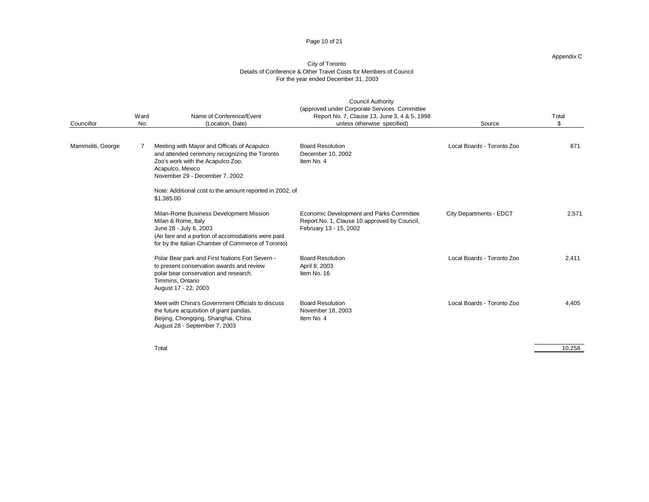#### Page 10 of 21

#### Appendix C

#### City of Toronto Details of Conference & Other Travel Costs for Members of Council For the year ended December 31, 2003

| Councillor        | Ward<br>No.                                                                                                                                                                                                                                                                                 | Name of Conference/Event<br>(Location, Date)                                                                                                                                                                                                        | <b>Council Authority</b><br>(approved under Corporate Services Committee<br>Report No. 7, Clause 13, June 3, 4 & 5, 1998<br>unless otherwise specified) | Source                     | Total<br>\$ |
|-------------------|---------------------------------------------------------------------------------------------------------------------------------------------------------------------------------------------------------------------------------------------------------------------------------------------|-----------------------------------------------------------------------------------------------------------------------------------------------------------------------------------------------------------------------------------------------------|---------------------------------------------------------------------------------------------------------------------------------------------------------|----------------------------|-------------|
| Mammoliti, George |                                                                                                                                                                                                                                                                                             | Meeting with Mayor and Officals of Acapulco<br>and attended ceremony recognizing the Toronto<br>Zoo's work with the Acapulco Zoo.<br>Acapulco, Mexico<br>November 29 - December 7, 2002<br>Note: Additional cost to the amount reported in 2002, of | <b>Board Resolution</b><br>December 10, 2002<br>Item No. 4                                                                                              | Local Boards - Toronto Zoo | 871         |
|                   | \$1,385.00<br>Milan-Rome Business Development Mission<br>Milan & Rome, Italy<br>June 28 - July 6, 2003<br>Polar Bear park and First Nations Fort Severn -<br>to present conservation awards and review<br>polar bear conservation and research.<br>Timmins, Ontario<br>August 17 - 22, 2003 | (Air fare and a portion of accomodations were paid<br>for by the Italian Chamber of Commerce of Toronto)                                                                                                                                            | Economic Development and Parks Committee<br>Report No. 1, Clause 10 approved by Council,<br>February 13 - 15, 2002                                      | City Departments - EDCT    | 2,571       |
|                   |                                                                                                                                                                                                                                                                                             |                                                                                                                                                                                                                                                     | <b>Board Resolution</b><br>April 8, 2003<br>Item No. 16                                                                                                 | Local Boards - Toronto Zoo | 2.411       |
|                   |                                                                                                                                                                                                                                                                                             | Meet with China's Government Officials to discuss<br>the future acquisition of giant pandas.<br>Beijing, Chongqing, Shanghai, China<br>August 28 - September 7, 2003                                                                                | <b>Board Resolution</b><br>November 18, 2003<br>Item No. 4                                                                                              | Local Boards - Toronto Zoo | 4.405       |

Total 10,258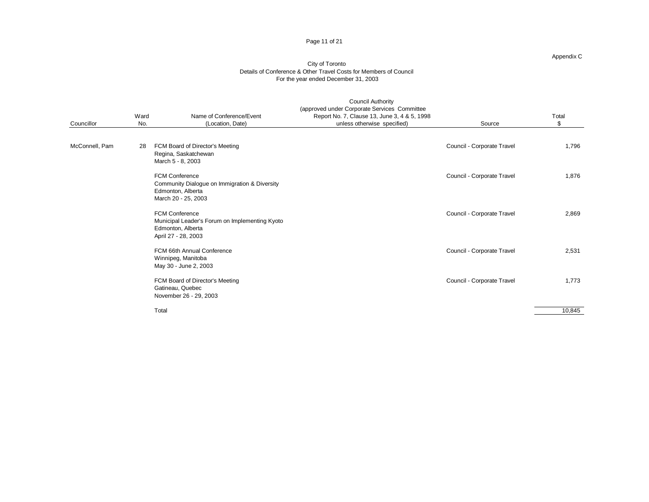#### Page 11 of 21

#### Appendix C

| Councillor     | Ward<br>No. | Name of Conference/Event<br>(Location, Date)                                                                        | <b>Council Authority</b><br>(approved under Corporate Services Committee<br>Report No. 7, Clause 13, June 3, 4 & 5, 1998<br>unless otherwise specified) | Source                     | Total<br>\$ |
|----------------|-------------|---------------------------------------------------------------------------------------------------------------------|---------------------------------------------------------------------------------------------------------------------------------------------------------|----------------------------|-------------|
| McConnell, Pam | 28          | FCM Board of Director's Meeting<br>Regina, Saskatchewan<br>March 5 - 8, 2003                                        |                                                                                                                                                         | Council - Corporate Travel | 1,796       |
|                |             | <b>FCM Conference</b><br>Community Dialogue on Immigration & Diversity<br>Edmonton, Alberta<br>March 20 - 25, 2003  |                                                                                                                                                         | Council - Corporate Travel | 1,876       |
|                |             | <b>FCM Conference</b><br>Municipal Leader's Forum on Implementing Kyoto<br>Edmonton, Alberta<br>April 27 - 28, 2003 |                                                                                                                                                         | Council - Corporate Travel | 2,869       |
|                |             | FCM 66th Annual Conference<br>Winnipeg, Manitoba<br>May 30 - June 2, 2003                                           |                                                                                                                                                         | Council - Corporate Travel | 2,531       |
|                |             | FCM Board of Director's Meeting<br>Gatineau, Quebec<br>November 26 - 29, 2003                                       |                                                                                                                                                         | Council - Corporate Travel | 1,773       |
|                |             | Total                                                                                                               |                                                                                                                                                         |                            | 10,845      |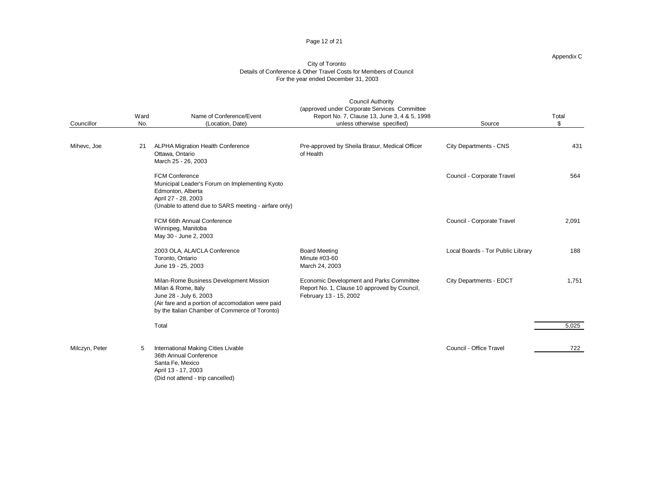#### Page 12 of 21

#### Appendix C

| Councillor     | Ward<br>No. | Name of Conference/Event<br>(Location, Date)                                                                                                                                                    | <b>Council Authority</b><br>(approved under Corporate Services Committee<br>Report No. 7, Clause 13, June 3, 4 & 5, 1998<br>unless otherwise specified) | Source                            | Total<br>\$ |
|----------------|-------------|-------------------------------------------------------------------------------------------------------------------------------------------------------------------------------------------------|---------------------------------------------------------------------------------------------------------------------------------------------------------|-----------------------------------|-------------|
| Mihevc, Joe    | 21          | ALPHA Migration Health Conference<br>Ottawa, Ontario<br>March 25 - 26, 2003                                                                                                                     | Pre-approved by Sheila Brasur, Medical Officer<br>of Health                                                                                             | City Departments - CNS            | 431         |
|                |             | <b>FCM Conference</b><br>Municipal Leader's Forum on Implementing Kyoto<br>Edmonton, Alberta<br>April 27 - 28, 2003<br>(Unable to attend due to SARS meeting - airfare only)                    |                                                                                                                                                         | Council - Corporate Travel        | 564         |
|                |             | FCM 66th Annual Conference<br>Winnipeg, Manitoba<br>May 30 - June 2, 2003                                                                                                                       |                                                                                                                                                         | Council - Corporate Travel        | 2,091       |
|                |             | 2003 OLA, ALA/CLA Conference<br>Toronto, Ontario<br>June 19 - 25, 2003                                                                                                                          | <b>Board Meeting</b><br>Minute #03-60<br>March 24, 2003                                                                                                 | Local Boards - Tor Public Library | 188         |
|                |             | Milan-Rome Business Development Mission<br>Milan & Rome, Italy<br>June 28 - July 6, 2003<br>(Air fare and a portion of accomodation were paid<br>by the Italian Chamber of Commerce of Toronto) | Economic Development and Parks Committee<br>Report No. 1, Clause 10 approved by Council,<br>February 13 - 15, 2002                                      | City Departments - EDCT           | 1,751       |
|                |             | Total                                                                                                                                                                                           |                                                                                                                                                         |                                   | 5,025       |
| Milczyn, Peter | 5           | International Making Cities Livable<br>36th Annual Conference<br>Santa Fe, Mexico<br>April 13 - 17, 2003<br>(Did not attend - trip cancelled)                                                   |                                                                                                                                                         | Council - Office Travel           | 722         |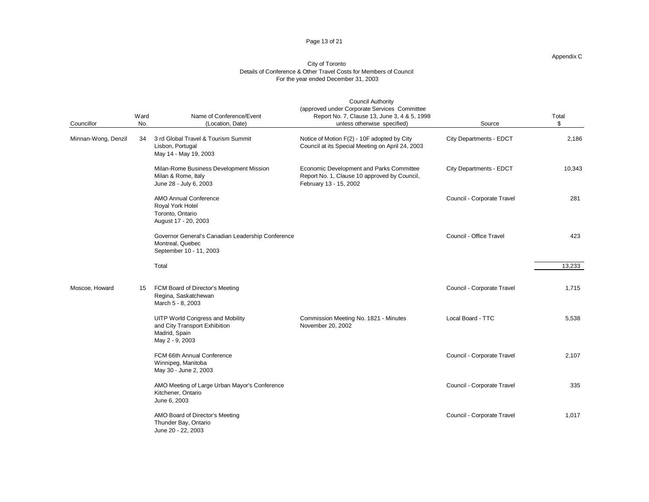#### Page 13 of 21

#### Appendix C

| Councillor          | Ward<br>No. | Name of Conference/Event<br>(Location, Date)                                                                 | <b>Council Authority</b><br>(approved under Corporate Services Committee<br>Report No. 7, Clause 13, June 3, 4 & 5, 1998<br>unless otherwise specified) | Source                     | Total<br>\$ |
|---------------------|-------------|--------------------------------------------------------------------------------------------------------------|---------------------------------------------------------------------------------------------------------------------------------------------------------|----------------------------|-------------|
| Minnan-Wong, Denzil | 34          | 3 rd Global Travel & Tourism Summit<br>Lisbon, Portugal<br>May 14 - May 19, 2003                             | Notice of Motion F(2) - 10F adopted by City<br>Council at its Special Meeting on April 24, 2003                                                         | City Departments - EDCT    | 2,186       |
|                     |             | Milan-Rome Business Development Mission<br>Milan & Rome, Italy<br>June 28 - July 6, 2003                     | Economic Development and Parks Committee<br>Report No. 1, Clause 10 approved by Council,<br>February 13 - 15, 2002                                      | City Departments - EDCT    | 10,343      |
|                     |             | AMO Annual Conference<br>Royal York Hotel<br>Toronto, Ontario<br>August 17 - 20, 2003                        |                                                                                                                                                         | Council - Corporate Travel | 281         |
|                     |             | Governor General's Canadian Leadership Conference<br>Montreal, Quebec<br>September 10 - 11, 2003             |                                                                                                                                                         | Council - Office Travel    | 423         |
|                     |             | Total                                                                                                        |                                                                                                                                                         |                            | 13,233      |
| Moscoe, Howard      | 15          | FCM Board of Director's Meeting<br>Regina, Saskatchewan<br>March 5 - 8, 2003                                 |                                                                                                                                                         | Council - Corporate Travel | 1,715       |
|                     |             | <b>UITP World Congress and Mobility</b><br>and City Transport Exhibition<br>Madrid, Spain<br>May 2 - 9, 2003 | Commission Meeting No. 1821 - Minutes<br>November 20, 2002                                                                                              | Local Board - TTC          | 5,538       |
|                     |             | FCM 66th Annual Conference<br>Winnipeg, Manitoba<br>May 30 - June 2, 2003                                    |                                                                                                                                                         | Council - Corporate Travel | 2,107       |
|                     |             | AMO Meeting of Large Urban Mayor's Conference<br>Kitchener, Ontario<br>June 6, 2003                          |                                                                                                                                                         | Council - Corporate Travel | 335         |
|                     |             | AMO Board of Director's Meeting<br>Thunder Bay, Ontario<br>June 20 - 22, 2003                                |                                                                                                                                                         | Council - Corporate Travel | 1,017       |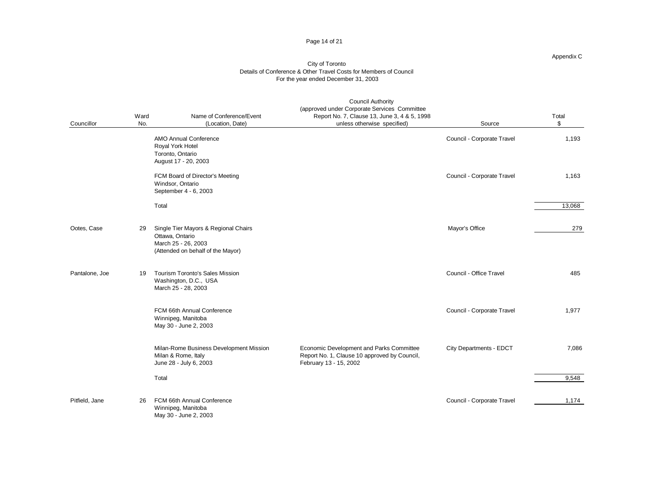#### Page 14 of 21

#### Appendix C

| Councillor     | Ward<br>No. | Name of Conference/Event<br>(Location, Date)                                                                        | <b>Council Authority</b><br>(approved under Corporate Services Committee<br>Report No. 7, Clause 13, June 3, 4 & 5, 1998<br>unless otherwise specified) | Source                     | Total<br>\$ |
|----------------|-------------|---------------------------------------------------------------------------------------------------------------------|---------------------------------------------------------------------------------------------------------------------------------------------------------|----------------------------|-------------|
|                |             | <b>AMO Annual Conference</b><br>Royal York Hotel<br>Toronto, Ontario<br>August 17 - 20, 2003                        |                                                                                                                                                         | Council - Corporate Travel | 1,193       |
|                |             | FCM Board of Director's Meeting<br>Windsor, Ontario<br>September 4 - 6, 2003                                        |                                                                                                                                                         | Council - Corporate Travel | 1,163       |
|                |             | Total                                                                                                               |                                                                                                                                                         |                            | 13,068      |
| Ootes, Case    | 29          | Single Tier Mayors & Regional Chairs<br>Ottawa, Ontario<br>March 25 - 26, 2003<br>(Attended on behalf of the Mayor) |                                                                                                                                                         | Mayor's Office             | 279         |
| Pantalone, Joe | 19          | <b>Tourism Toronto's Sales Mission</b><br>Washington, D.C., USA<br>March 25 - 28, 2003                              |                                                                                                                                                         | Council - Office Travel    | 485         |
|                |             | FCM 66th Annual Conference<br>Winnipeg, Manitoba<br>May 30 - June 2, 2003                                           |                                                                                                                                                         | Council - Corporate Travel | 1,977       |
|                |             | Milan-Rome Business Development Mission<br>Milan & Rome, Italy<br>June 28 - July 6, 2003                            | Economic Development and Parks Committee<br>Report No. 1, Clause 10 approved by Council,<br>February 13 - 15, 2002                                      | City Departments - EDCT    | 7,086       |
|                |             | Total                                                                                                               |                                                                                                                                                         |                            | 9,548       |
| Pitfield, Jane | 26          | FCM 66th Annual Conference<br>Winnipeg, Manitoba<br>May 30 - June 2, 2003                                           |                                                                                                                                                         | Council - Corporate Travel | 1,174       |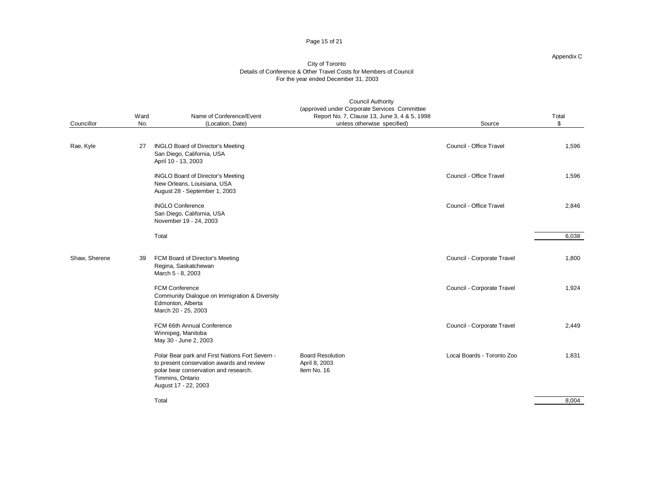#### Page 15 of 21

#### Appendix C

| Councillor    | Ward<br>No. | Name of Conference/Event<br>(Location, Date)                                                                                                                                      | <b>Council Authority</b><br>(approved under Corporate Services Committee<br>Report No. 7, Clause 13, June 3, 4 & 5, 1998<br>unless otherwise specified) | Source                     | Total<br>\$ |
|---------------|-------------|-----------------------------------------------------------------------------------------------------------------------------------------------------------------------------------|---------------------------------------------------------------------------------------------------------------------------------------------------------|----------------------------|-------------|
| Rae, Kyle     | 27          | <b>INGLO Board of Director's Meeting</b><br>San Diego, California, USA<br>April 10 - 13, 2003                                                                                     |                                                                                                                                                         | Council - Office Travel    | 1,596       |
|               |             | <b>INGLO Board of Director's Meeting</b><br>New Orleans, Louisiana, USA<br>August 28 - September 1, 2003                                                                          |                                                                                                                                                         | Council - Office Travel    | 1,596       |
|               |             | <b>INGLO Conference</b><br>San Diego, California, USA<br>November 19 - 24, 2003                                                                                                   |                                                                                                                                                         | Council - Office Travel    | 2,846       |
|               |             | Total                                                                                                                                                                             |                                                                                                                                                         |                            | 6,038       |
| Shaw, Sherene | 39          | FCM Board of Director's Meeting<br>Regina, Saskatchewan<br>March 5 - 8, 2003                                                                                                      |                                                                                                                                                         | Council - Corporate Travel | 1,800       |
|               |             | FCM Conference<br>Community Dialogue on Immigration & Diversity<br>Edmonton, Alberta<br>March 20 - 25, 2003                                                                       |                                                                                                                                                         | Council - Corporate Travel | 1,924       |
|               |             | FCM 66th Annual Conference<br>Winnipeg, Manitoba<br>May 30 - June 2, 2003                                                                                                         |                                                                                                                                                         | Council - Corporate Travel | 2,449       |
|               |             | Polar Bear park and First Nations Fort Severn -<br>to present conservation awards and review<br>polar bear conservation and research.<br>Timmins, Ontario<br>August 17 - 22, 2003 | <b>Board Resolution</b><br>April 8, 2003<br>Item No. 16                                                                                                 | Local Boards - Toronto Zoo | 1,831       |
|               |             | Total                                                                                                                                                                             |                                                                                                                                                         |                            | 8.004       |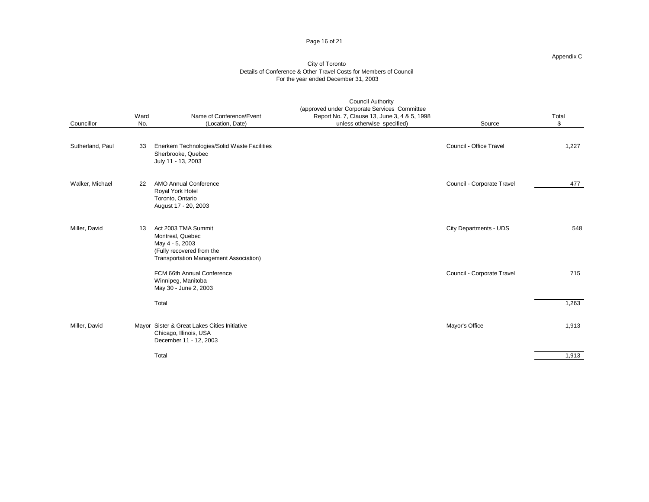#### Page 16 of 21

#### Appendix C

|                  | Ward | Name of Conference/Event                                                                                                          | <b>Council Authority</b><br>(approved under Corporate Services Committee<br>Report No. 7, Clause 13, June 3, 4 & 5, 1998 |                            | Total |  |
|------------------|------|-----------------------------------------------------------------------------------------------------------------------------------|--------------------------------------------------------------------------------------------------------------------------|----------------------------|-------|--|
| Councillor       | No.  | (Location, Date)                                                                                                                  | unless otherwise specified)                                                                                              | Source                     | \$    |  |
| Sutherland, Paul | 33   | Enerkem Technologies/Solid Waste Facilities<br>Sherbrooke, Quebec<br>July 11 - 13, 2003                                           |                                                                                                                          | Council - Office Travel    | 1,227 |  |
| Walker, Michael  | 22   | <b>AMO Annual Conference</b><br>Royal York Hotel<br>Toronto, Ontario<br>August 17 - 20, 2003                                      |                                                                                                                          | Council - Corporate Travel | 477   |  |
| Miller, David    | 13   | Act 2003 TMA Summit<br>Montreal, Quebec<br>May 4 - 5, 2003<br>(Fully recovered from the<br>Transportation Management Association) |                                                                                                                          | City Departments - UDS     | 548   |  |
|                  |      | FCM 66th Annual Conference<br>Winnipeg, Manitoba<br>May 30 - June 2, 2003                                                         |                                                                                                                          | Council - Corporate Travel | 715   |  |
|                  |      | Total                                                                                                                             |                                                                                                                          |                            | 1,263 |  |
| Miller, David    |      | Mayor Sister & Great Lakes Cities Initiative<br>Chicago, Illinois, USA<br>December 11 - 12, 2003                                  |                                                                                                                          | Mayor's Office             | 1,913 |  |
|                  |      | Total                                                                                                                             |                                                                                                                          |                            | 1,913 |  |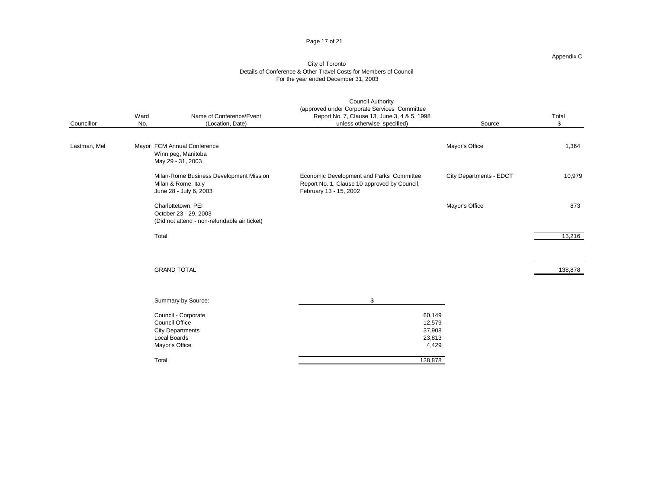#### Page 17 of 21

#### Appendix C

| Councillor   | Ward<br>No. | Name of Conference/Event<br>(Location, Date)                                                              | <b>Council Authority</b><br>(approved under Corporate Services Committee<br>Report No. 7, Clause 13, June 3, 4 & 5, 1998<br>unless otherwise specified) | Source                  | Total<br>\$ |
|--------------|-------------|-----------------------------------------------------------------------------------------------------------|---------------------------------------------------------------------------------------------------------------------------------------------------------|-------------------------|-------------|
| Lastman, Mel |             | Mayor FCM Annual Conference<br>Winnipeg, Manitoba<br>May 29 - 31, 2003                                    |                                                                                                                                                         | Mayor's Office          | 1,364       |
|              |             | Milan-Rome Business Development Mission<br>Milan & Rome, Italy<br>June 28 - July 6, 2003                  | Economic Development and Parks Committee<br>Report No. 1, Clause 10 approved by Council,<br>February 13 - 15, 2002                                      | City Departments - EDCT | 10,979      |
|              |             | Charlottetown, PEI<br>October 23 - 29, 2003<br>(Did not attend - non-refundable air ticket)               |                                                                                                                                                         | Mayor's Office          | 873         |
|              | Total       |                                                                                                           |                                                                                                                                                         |                         | 13,216      |
|              |             | <b>GRAND TOTAL</b>                                                                                        |                                                                                                                                                         |                         | 138,878     |
|              |             | Summary by Source:                                                                                        | \$                                                                                                                                                      |                         |             |
|              |             | Council - Corporate<br>Council Office<br><b>City Departments</b><br><b>Local Boards</b><br>Mayor's Office | 60,149<br>12,579<br>37,908<br>23,813<br>4,429                                                                                                           |                         |             |
|              | Total       |                                                                                                           | 138,878                                                                                                                                                 |                         |             |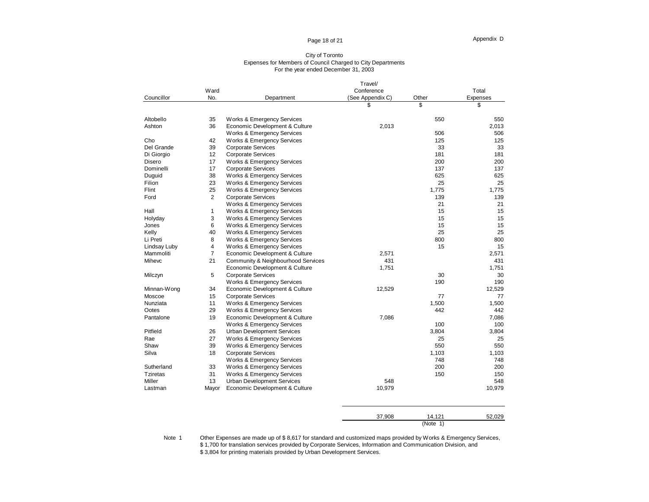#### Page 18 of 21

#### City of Toronto Expenses for Members of Council Charged to City Departments For the year ended December 31, 2003

|                 |                |                                       | Travel/          |          |                 |
|-----------------|----------------|---------------------------------------|------------------|----------|-----------------|
|                 | Ward           |                                       | Conference       |          | Total           |
| Councillor      | No.            | Department                            | (See Appendix C) | Other    | <b>Expenses</b> |
|                 |                |                                       | S                | \$       | \$              |
| Altobello       | 35             | Works & Emergency Services            |                  | 550      | 550             |
| Ashton          | 36             | Economic Development & Culture        | 2,013            |          | 2,013           |
|                 |                | Works & Emergency Services            |                  | 506      | 506             |
| Cho             | 42             | Works & Emergency Services            |                  | 125      | 125             |
| Del Grande      | 39             | <b>Corporate Services</b>             |                  | 33       | 33              |
| Di Giorgio      | 12             | <b>Corporate Services</b>             |                  | 181      | 181             |
| Disero          | 17             | Works & Emergency Services            |                  | 200      | 200             |
| Dominelli       | 17             | Corporate Services                    |                  | 137      | 137             |
| Duguid          | 38             | Works & Emergency Services            |                  | 625      | 625             |
| Filion          | 23             | Works & Emergency Services            |                  | 25       | 25              |
| Flint           | 25             | Works & Emergency Services            |                  | 1,775    | 1,775           |
| Ford            | 2              | <b>Corporate Services</b>             |                  | 139      | 139             |
|                 |                | Works & Emergency Services            |                  | 21       | 21              |
| Hall            | 1              | Works & Emergency Services            |                  | 15       | 15              |
| Holyday         | 3              | <b>Works &amp; Emergency Services</b> |                  | 15       | 15              |
| Jones           | 6              | Works & Emergency Services            |                  | 15       | 15              |
| Kelly           | 40             | Works & Emergency Services            |                  | 25       | 25              |
| Li Preti        | 8              | Works & Emergency Services            |                  | 800      | 800             |
| Lindsay Luby    | 4              | Works & Emergency Services            |                  | 15       | 15              |
| Mammoliti       | $\overline{7}$ | Economic Development & Culture        | 2,571            |          | 2,571           |
| Mihevc          | 21             | Community & Neighbourhood Services    | 431              |          | 431             |
|                 |                | Economic Development & Culture        | 1,751            |          | 1,751           |
| Milczyn         | 5              | <b>Corporate Services</b>             |                  | 30       | 30              |
|                 |                | Works & Emergency Services            |                  | 190      | 190             |
| Minnan-Wong     | 34             | Economic Development & Culture        | 12,529           |          | 12,529          |
| Moscoe          | 15             | <b>Corporate Services</b>             |                  | 77       | 77              |
| Nunziata        | 11             | Works & Emergency Services            |                  | 1,500    | 1,500           |
| Ootes           | 29             | <b>Works &amp; Emergency Services</b> |                  | 442      | 442             |
| Pantalone       | 19             | Economic Development & Culture        | 7,086            |          | 7,086           |
|                 |                | Works & Emergency Services            |                  | 100      | 100             |
| Pitfield        | 26             | <b>Urban Development Services</b>     |                  | 3,804    | 3,804           |
| Rae             | 27             | Works & Emergency Services            |                  | 25       | 25              |
| Shaw            | 39             | Works & Emergency Services            |                  | 550      | 550             |
| Silva           | 18             | <b>Corporate Services</b>             |                  | 1,103    | 1,103           |
|                 |                | Works & Emergency Services            |                  | 748      | 748             |
| Sutherland      | 33             | Works & Emergency Services            |                  | 200      | 200             |
| <b>Tziretas</b> | 31             | Works & Emergency Services            |                  | 150      | 150             |
| Miller          | 13             | <b>Urban Development Services</b>     | 548              |          | 548             |
| Lastman         | Mayor          | Economic Development & Culture        | 10,979           |          | 10,979          |
|                 |                |                                       | 37,908           | 14,121   | 52,029          |
|                 |                |                                       |                  | (Note 1) |                 |

Note 1 Other Expenses are made up of \$8,617 for standard and customized maps provided by Works & Emergency Services, \$ 1,700 for translation services provided by Corporate Services, Information and Communication Division, and \$ 3,804 for printing materials provided by Urban Development Services.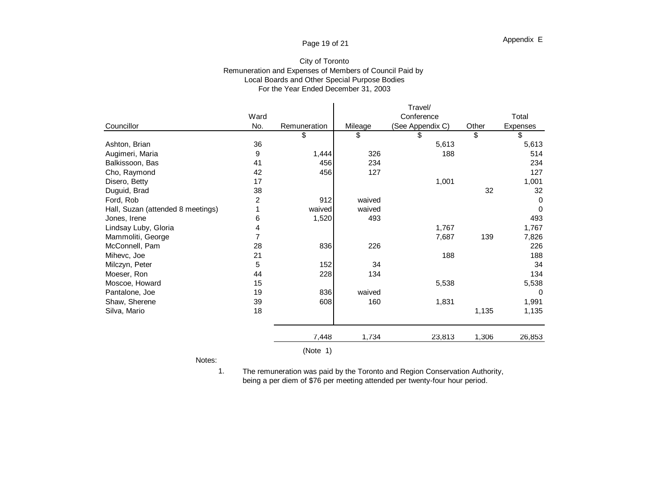## Page 19 of 21

## For the Year Ended December 31, 2003 City of Toronto Remuneration and Expenses of Members of Council Paid by Local Boards and Other Special Purpose Bodies

|                                   |      |              |         | Travel/          |       |             |  |
|-----------------------------------|------|--------------|---------|------------------|-------|-------------|--|
|                                   | Ward |              |         | Conference       |       | Total       |  |
| Councillor                        | No.  | Remuneration | Mileage | (See Appendix C) | Other | Expenses    |  |
|                                   |      | \$           | \$      | \$               | \$    | \$          |  |
| Ashton, Brian                     | 36   |              |         | 5,613            |       | 5,613       |  |
| Augimeri, Maria                   | 9    | 1,444        | 326     | 188              |       | 514         |  |
| Balkissoon, Bas                   | 41   | 456          | 234     |                  |       | 234         |  |
| Cho, Raymond                      | 42   | 456          | 127     |                  |       | 127         |  |
| Disero, Betty                     | 17   |              |         | 1,001            |       | 1,001       |  |
| Duguid, Brad                      | 38   |              |         |                  | 32    | 32          |  |
| Ford, Rob                         | 2    | 912          | waived  |                  |       | $\mathbf 0$ |  |
| Hall, Suzan (attended 8 meetings) |      | waived       | waived  |                  |       | $\Omega$    |  |
| Jones, Irene                      | 6    | 1,520        | 493     |                  |       | 493         |  |
| Lindsay Luby, Gloria              | 4    |              |         | 1,767            |       | 1,767       |  |
| Mammoliti, George                 |      |              |         | 7,687            | 139   | 7,826       |  |
| McConnell, Pam                    | 28   | 836          | 226     |                  |       | 226         |  |
| Mihevc, Joe                       | 21   |              |         | 188              |       | 188         |  |
| Milczyn, Peter                    | 5    | 152          | 34      |                  |       | 34          |  |
| Moeser, Ron                       | 44   | 228          | 134     |                  |       | 134         |  |
| Moscoe, Howard                    | 15   |              |         | 5,538            |       | 5,538       |  |
| Pantalone, Joe                    | 19   | 836          | waived  |                  |       | $\Omega$    |  |
| Shaw, Sherene                     | 39   | 608          | 160     | 1,831            |       | 1,991       |  |
| Silva, Mario                      | 18   |              |         |                  | 1,135 | 1,135       |  |
|                                   |      | 7,448        | 1,734   | 23,813           | 1,306 | 26,853      |  |
|                                   |      | (Note 1)     |         |                  |       |             |  |

Notes:

 1. The remuneration was paid by the Toronto and Region Conservation Authority, being a per diem of \$76 per meeting attended per twenty-four hour period.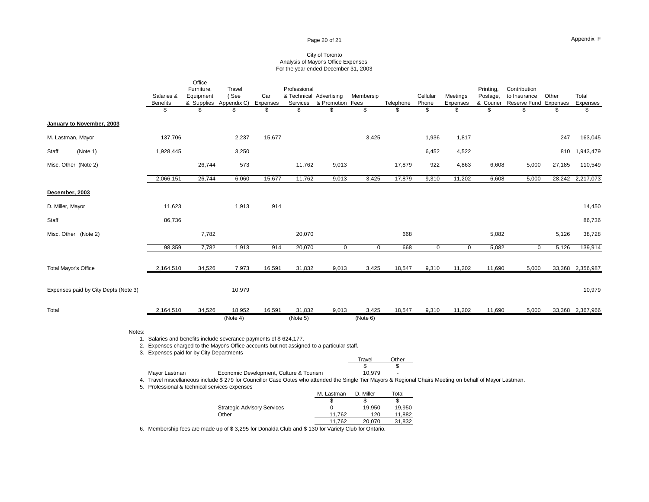#### Page 20 of 21

#### City of Toronto Analysis of Mayor's Office Expenses For the year ended December 31, 2003

|                                      | Salaries &<br><b>Benefits</b>                                                                                                                                                                                                | Office<br>Furniture,<br>Equipment | Travel<br>(See<br>& Supplies Appendix C)    | Car<br>Expenses | Professional<br>Services | & Technical Advertising<br>& Promotion Fees | Membersip       | Telephone        | Cellular<br>Phone | Meetings<br>Expenses | Printing,<br>Postage,<br>& Courier | Contribution<br>to Insurance<br>Reserve Fund Expenses | Other  | Total<br>Expenses |
|--------------------------------------|------------------------------------------------------------------------------------------------------------------------------------------------------------------------------------------------------------------------------|-----------------------------------|---------------------------------------------|-----------------|--------------------------|---------------------------------------------|-----------------|------------------|-------------------|----------------------|------------------------------------|-------------------------------------------------------|--------|-------------------|
|                                      | \$                                                                                                                                                                                                                           |                                   | \$                                          | \$              | \$.                      | \$                                          | \$              | \$               | \$                | \$                   | $\mathcal{S}$                      | \$                                                    | \$     | \$                |
| January to November, 2003            |                                                                                                                                                                                                                              |                                   |                                             |                 |                          |                                             |                 |                  |                   |                      |                                    |                                                       |        |                   |
| M. Lastman, Mayor                    | 137,706                                                                                                                                                                                                                      |                                   | 2,237                                       | 15,677          |                          |                                             | 3,425           |                  | 1,936             | 1,817                |                                    |                                                       | 247    | 163,045           |
| Staff<br>(Note 1)                    | 1,928,445                                                                                                                                                                                                                    |                                   | 3,250                                       |                 |                          |                                             |                 |                  | 6,452             | 4,522                |                                    |                                                       | 810    | 1,943,479         |
| Misc. Other (Note 2)                 |                                                                                                                                                                                                                              | 26,744                            | 573                                         |                 | 11,762                   | 9,013                                       |                 | 17,879           | 922               | 4,863                | 6,608                              | 5,000                                                 | 27,185 | 110,549           |
|                                      | 2,066,151                                                                                                                                                                                                                    | 26,744                            | 6,060                                       | 15,677          | 11,762                   | 9,013                                       | 3,425           | 17,879           | 9,310             | 11,202               | 6,608                              | 5,000                                                 | 28,242 | 2,217,073         |
| December, 2003                       |                                                                                                                                                                                                                              |                                   |                                             |                 |                          |                                             |                 |                  |                   |                      |                                    |                                                       |        |                   |
| D. Miller, Mayor                     | 11,623                                                                                                                                                                                                                       |                                   | 1,913                                       | 914             |                          |                                             |                 |                  |                   |                      |                                    |                                                       |        | 14,450            |
| Staff                                | 86,736                                                                                                                                                                                                                       |                                   |                                             |                 |                          |                                             |                 |                  |                   |                      |                                    |                                                       |        | 86,736            |
| Misc. Other (Note 2)                 |                                                                                                                                                                                                                              | 7,782                             |                                             |                 | 20,070                   |                                             |                 | 668              |                   |                      | 5,082                              |                                                       | 5,126  | 38,728            |
|                                      | 98,359                                                                                                                                                                                                                       | 7,782                             | 1,913                                       | 914             | 20,070                   | $\pmb{0}$                                   | $\mathsf 0$     | 668              | 0                 | $\mathbf 0$          | 5,082                              | 0                                                     | 5,126  | 139,914           |
| <b>Total Mayor's Office</b>          | 2,164,510                                                                                                                                                                                                                    | 34,526                            | 7,973                                       | 16,591          | 31,832                   | 9,013                                       | 3,425           | 18,547           | 9,310             | 11,202               | 11,690                             | 5,000                                                 |        | 33,368 2,356,987  |
| Expenses paid by City Depts (Note 3) |                                                                                                                                                                                                                              |                                   | 10,979                                      |                 |                          |                                             |                 |                  |                   |                      |                                    |                                                       |        | 10,979            |
| Total                                | 2,164,510                                                                                                                                                                                                                    | 34,526                            | 18,952                                      | 16,591          | 31,832                   | 9,013                                       | 3,425           | 18,547           | 9,310             | 11,202               | 11,690                             | 5,000                                                 |        | 33,368 2,367,966  |
|                                      |                                                                                                                                                                                                                              |                                   | (Note 4)                                    |                 | (Note 5)                 |                                             | (Note 6)        |                  |                   |                      |                                    |                                                       |        |                   |
| Notes:                               | 1. Salaries and benefits include severance payments of \$624,177.<br>2. Expenses charged to the Mayor's Office accounts but not assigned to a particular staff.<br>3. Expenses paid for by City Departments                  |                                   |                                             |                 |                          |                                             |                 |                  |                   |                      |                                    |                                                       |        |                   |
|                                      |                                                                                                                                                                                                                              |                                   |                                             |                 |                          |                                             | Travel          | Other            |                   |                      |                                    |                                                       |        |                   |
|                                      | Mayor Lastman<br>4. Travel miscellaneous include \$ 279 for Councillor Case Ootes who attended the Single Tier Mayors & Regional Chairs Meeting on behalf of Mayor Lastman.<br>5. Professional & technical services expenses |                                   | Economic Development, Culture & Tourism     |                 |                          |                                             | \$<br>10,979    | \$               |                   |                      |                                    |                                                       |        |                   |
|                                      |                                                                                                                                                                                                                              |                                   |                                             |                 |                          | M. Lastman<br>\$                            | D. Miller<br>\$ | Total<br>\$      |                   |                      |                                    |                                                       |        |                   |
|                                      |                                                                                                                                                                                                                              |                                   | <b>Strategic Advisory Services</b><br>Other |                 |                          | 0<br>11,762                                 | 19,950<br>120   | 19,950<br>11,882 |                   |                      |                                    |                                                       |        |                   |

11,762 120 11,882<br>11,762 20,070 31,832 20,070 6. Membership fees are made up of \$ 3,295 for Donalda Club and \$ 130 for Variety Club for Ontario.